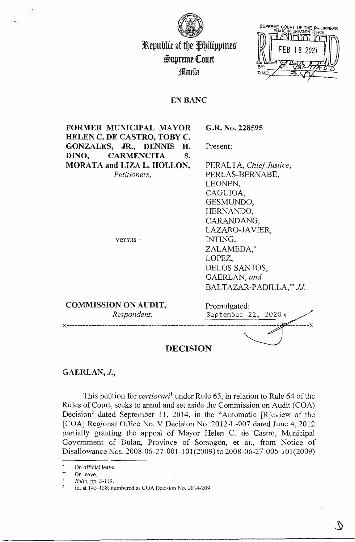

3&epublic of tbe JbilippineS' Supreme Court :fflmtila



## EN BANC

**FORMER MUNICIPAL MAYOR HELEN C. DE CASTRO, TOBY C. GONZALES, JR., DENNIS H. DINO, CARMENCITA S. MORATA and LIZA L. HOLLON,**  *Petitioners,*  Present:

- versus -

**G.R. No. 228595** 

PERALTA, *Chief Justice,*  PERLAS-BERNABE, LEONEN, CAGUIOA, GESMUNDO, HERNANDO, CARANDANG, LAZARO-JAVIER, INTING, ZALAMEDA,\* LOPEZ, DELOS SANTOS, GAERLAN, *and*  BALTAZAR-PADILLA,\*\* *JJ.* 

| <b>COMMISSION ON AUDIT,</b> | Promulgated:               |
|-----------------------------|----------------------------|
| Respondent.                 | September 22, 2020 $\cdot$ |
| <b>DECISION</b>             |                            |

## **GAERLAN,** J.,

This petition for *certiorari*<sup>1</sup> under Rule 65, in relation to Rule 64 of the Rules of Court, seeks to annul and set aside the Commission on Audit (COA) Decision<sup>2</sup> dated September 11, 2014, in the "Automatic [R]eview of the [COA] Regional Office No. V Decision No. 2012-L-007 dated June 4, 2012 partially granting the appeal of Mayor Helen C. de Castro, Municipal Government of Bulan, Province of Sorsogon, et al., from Notice of Disallowance Nos. 2008-06-27-001-l 01(2009) to 2008-06-27-005-101(2009)

On official leave.

<sup>\*\*</sup> On leave.  $\mathbf{I}$ 

*Rollo,* pp. 3-119.

<sup>&</sup>lt;sup>2</sup> Id. at  $145-158$ ; numbered as COA Decision No. 2014-209.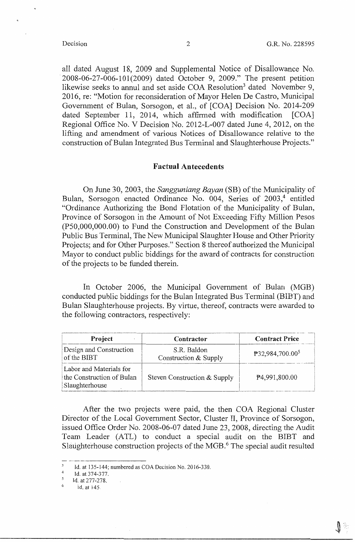all dated August 18, 2009 and Supplemental Notice of Disallowance No. 2008-06-27-006-101(2009) dated October 9, 2009." The present petition likewise seeks to annul and set aside COA Resolution<sup>3</sup> dated November 9, 2016, re: "Motion for reconsideration of Mayor Helen De Castro, Municipal Government of Bulan, Sorsogon, et al., of [COA] Decision No. 2014-209 dated September 11, 2014, which affirmed with modification [COA] Regional Office No. V Decision No. 2012-L-007 dated June 4, 2012, on the lifting and amendment of various Notices of Disallowance relative to the construction of Bulan Integrated Bus Terminal and Slaughterhouse Projects."

## **Factual Antecedents**

On June 30, 2003, the *Sangguniang Bayan* **(SB)** of the Municipality of Bulan, Sorsogon enacted Ordinance No. 004, Series of 2003,<sup>4</sup> entitled "Ordinance Authorizing the Bond Flotation of the Municipality of Bulan, Province of Sorsogon in the Amount of Not Exceeding Fifty Million Pesos (P50,000,000.00) to Fund the Construction and Development of the Bulan Public Bus Terminal, The New Municipal Slaughter House and Other Priority Projects; and for Other Purposes." Section 8 thereof authorized the Municipal Mayor to conduct public biddings for the award of contracts for construction of the projects to be funded therein.

In October 2006, the Municipal Government of Bulan (MGB) conducted public biddings for the Bulan Integrated Bus Terminal (BIBT) and Bulan Slaughterhouse projects. By virtue, thereof, contracts were awarded to the following contractors, respectively:

| Project                                                                | Contractor                           | <b>Contract Price</b>       |
|------------------------------------------------------------------------|--------------------------------------|-----------------------------|
| Design and Construction<br>of the BIBT                                 | S.R. Baldon<br>Construction & Supply | P32,984,700.00 <sup>5</sup> |
| Labor and Materials for<br>the Construction of Bulan<br>Slaughterhouse | Steven Construction & Supply         | P4,991,800.00               |

After the two projects were paid, the then COA Regional Cluster Director of the Local Government Sector, Cluster II, Province of Sorsogon, issued Office Order No. 2008-06-07 dated June 23, 2008, directing the Audit Team Leader (ATL) to conduct a special audit on the BIBT and Slaughterhouse construction projects of the MGB.<sup>6</sup> The special audit resulted

-· ·--~··--·-·--------------

 $\ddot{\phantom{a}}$ Id. at 135-144; numbered as COA Decision No. 2016-330.

 $^{4}$  Id. at 374-377.

 $<sup>5</sup>$  Id. at 277-278.</sup>

<sup>6</sup> id. at 145.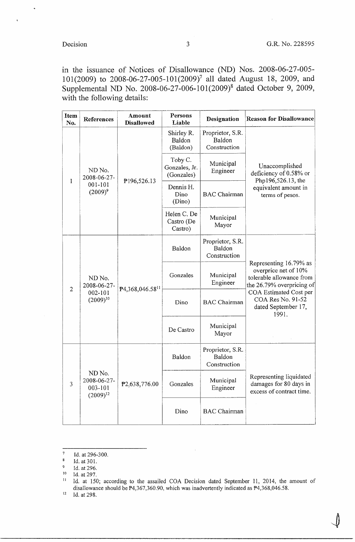$\int$ 

in the issuance of Notices of Disallowance (ND) Nos. 2008-06-27-005 l 01(2009) to 2008-06-27-005-101(2009)<sup>7</sup>all dated August 18, 2009, and Supplemental ND No. 2008-06-27-006-101(2009)8 dated October 9, 2009, with the following details:

| Item<br>No.                                                         | <b>References</b>                                 | Amount<br><b>Disallowed</b>            | Persons<br>Liable                          | Designation                                                                                                                                                                            | <b>Reason for Disallowance</b>                                                |
|---------------------------------------------------------------------|---------------------------------------------------|----------------------------------------|--------------------------------------------|----------------------------------------------------------------------------------------------------------------------------------------------------------------------------------------|-------------------------------------------------------------------------------|
| ND No.<br>2008-06-27-                                               |                                                   | Shirley R.<br>Baldon<br>(Baldon)       | Proprietor, S.R.<br>Baldon<br>Construction |                                                                                                                                                                                        |                                                                               |
|                                                                     |                                                   | Toby C.<br>Gonzales, Jr.<br>(Gonzales) | Municipal<br>Engineer                      | Unaccomplished<br>deficiency of 0.58% or<br>Php196,526.13, the                                                                                                                         |                                                                               |
| 1                                                                   | $001 - 101$<br>$(2009)^9$                         | ₱196,526.13                            | Dennis H.<br>Dino<br>(Dino)                | <b>BAC</b> Chairman                                                                                                                                                                    | equivalent amount in<br>terms of pesos.                                       |
|                                                                     |                                                   |                                        | Helen C. De<br>Castro (De<br>Castro)       | Municipal<br>Mayor                                                                                                                                                                     |                                                                               |
| ND No.<br>2008-06-27-<br>$\overline{2}$<br>002-101<br>$(2009)^{10}$ | P4,368,046.58 <sup>11</sup>                       | Baldon                                 | Proprietor, S.R.<br>Baldon<br>Construction | Representing 16.79% as<br>overprice net of 10%<br>tolerable allowance from<br>the 26.79% overpricing of<br>COA Estimated Cost per<br>COA Res No. 91-52<br>dated September 17,<br>1991. |                                                                               |
|                                                                     |                                                   | Gonzales                               | Municipal<br>Engineer                      |                                                                                                                                                                                        |                                                                               |
|                                                                     |                                                   | Dino                                   | <b>BAC</b> Chairman                        |                                                                                                                                                                                        |                                                                               |
|                                                                     |                                                   | De Castro                              | Municipal<br>Mayor                         |                                                                                                                                                                                        |                                                                               |
|                                                                     |                                                   |                                        | Baldon                                     | Proprietor, S.R.<br>Baldon<br>Construction                                                                                                                                             |                                                                               |
| 3                                                                   | ND No.<br>2008-06-27-<br>003-101<br>$(2009)^{12}$ | P2,638,776.00                          | Gonzales                                   | Municipal<br>Engineer                                                                                                                                                                  | Representing liquidated<br>damages for 80 days in<br>excess of contract time. |
|                                                                     |                                                   | Dino                                   | <b>BAC</b> Chairman                        |                                                                                                                                                                                        |                                                                               |

 $12$  Id. at 298.

 $^7$  Id. at 296-300.

 $\boldsymbol{8}$ Id. at 301.

 $9$  Id. at 296.

<sup>&</sup>lt;sup>10</sup> Id. at 297.

<sup>&</sup>lt;sup>11</sup> Id. at 150; according to the assailed COA Decision dated September 11, 2014, the amount of disallowance should be  $P4,367,360.90$ , which was inadvertently indicated as  $P4,368,046.58$ .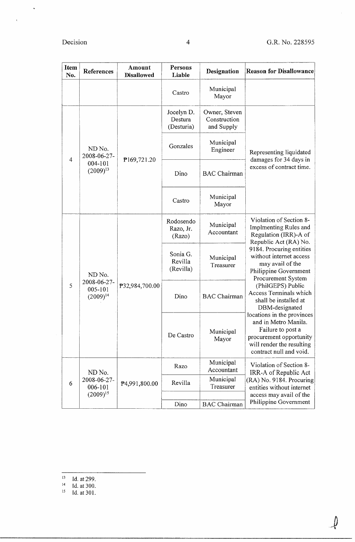$\rightarrow$ 

 $\hat{\zeta}$ 

| <b>Item</b><br>No. | References                              | Amount<br><b>Disallowed</b>         | Persons<br>Liable                           | Designation                                                                                                                                                                                                                  | <b>Reason for Disallowance</b>                                                                                                                             |
|--------------------|-----------------------------------------|-------------------------------------|---------------------------------------------|------------------------------------------------------------------------------------------------------------------------------------------------------------------------------------------------------------------------------|------------------------------------------------------------------------------------------------------------------------------------------------------------|
|                    |                                         |                                     | Castro                                      | Municipal<br>Mayor                                                                                                                                                                                                           |                                                                                                                                                            |
|                    |                                         | Jocelyn D.<br>Destura<br>(Desturia) | Owner, Steven<br>Construction<br>and Supply |                                                                                                                                                                                                                              |                                                                                                                                                            |
| 4                  | ND No.<br>2008-06-27-                   |                                     | Gonzales                                    | Municipal<br>Engineer                                                                                                                                                                                                        | Representing liquidated<br>damages for 34 days in                                                                                                          |
|                    | 004-101<br>$(2009)^{13}$                | <b>\</b> 169,721.20                 | Dino                                        | <b>BAC</b> Chairman                                                                                                                                                                                                          | excess of contract time.                                                                                                                                   |
|                    |                                         |                                     | Castro                                      | Municipal<br>Mayor                                                                                                                                                                                                           |                                                                                                                                                            |
| ND No.             |                                         | Rodosendo<br>Razo, Jr.<br>(Razo)    | Municipal<br>Accountant                     | Violation of Section 8-<br>Implmenting Rules and<br>Regulation (IRR)-A of<br>Republic Act (RA) No.<br>9184. Procuring entities<br>without internet access<br>may avail of the<br>Philippine Government<br>Procurement System |                                                                                                                                                            |
|                    |                                         | Sonia G.<br>Revilla<br>(Revilla)    | Municipal<br>Treasurer                      |                                                                                                                                                                                                                              |                                                                                                                                                            |
| 5                  | 2008-06-27-<br>005-101<br>$(2009)^{14}$ | P32,984,700.00                      | Dino                                        | <b>BAC</b> Chairman                                                                                                                                                                                                          | (PhilGEPS) Public<br>Access Terminals which<br>shall be installed at<br>DBM-designated                                                                     |
|                    |                                         |                                     | De Castro                                   | Municipal<br>Mayor                                                                                                                                                                                                           | locations in the provinces<br>and in Metro Manila.<br>Failure to post a<br>procurement opportunity<br>will render the resulting<br>contract null and void. |
|                    | ND No.                                  |                                     | Razo                                        | Municipal<br>Accountant                                                                                                                                                                                                      | Violation of Section 8-<br>IRR-A of Republic Act                                                                                                           |
| 6                  | 2008-06-27-<br>006-101                  | P <sub>4,991,800.00</sub>           | Revilla                                     | Municipal<br>Treasurer                                                                                                                                                                                                       | (RA) No. 9184. Procuring<br>entities without internet                                                                                                      |
|                    | $(2009)^{15}$                           |                                     | Dino                                        | <b>BAC</b> Chairman                                                                                                                                                                                                          | access may avail of the<br>Philippine Government                                                                                                           |

- $13$  Id. at 299.<br>  $14$  Id. at 300.
- 
- $^{15}$  Id. at 301.

4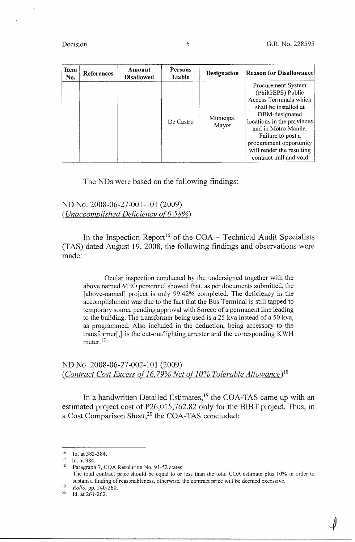$\overline{\psi}$ 

| Item<br>No. | References | Amount<br><b>Disallowed</b> | Persons<br>Liable | Designation        | <b>Reason for Disallowance</b>                                                                                                                                                                                                                                            |
|-------------|------------|-----------------------------|-------------------|--------------------|---------------------------------------------------------------------------------------------------------------------------------------------------------------------------------------------------------------------------------------------------------------------------|
|             |            |                             | De Castro         | Municipal<br>Mayor | Procurement System<br>(PhilGEPS) Public<br>Access Terminals which<br>shall be installed at<br>DBM-designated<br>locations in the provinces<br>and in Metro Manila.<br>Failure to post a<br>procurement opportunity<br>will render the resulting<br>contract null and void |

## The NDs were based on the following findings:

## ND No. 2008-06-27-001-101 (2009) *(Unaccomplished Deficiency of 0.58%)*

In the Inspection Report<sup>16</sup> of the  $COA - Technical$  Audit Specialists (TAS) dated August 19, 2008, the following findings and observations were made:

Ocular inspection conducted by the undersigned together with the above named MEO personnel showed that, as per documents submitted, the [above-named] project is only 99.42% completed. The deficiency in the accomplishment was due to the fact that the Bus Terminal is still tapped to temporary source pending approval with Soreco of a permanent line leading to the building. The transformer being used is a 25 kva instead of a 50 kva, as programmed. Also included in the deduction, being accessory to the transformer[,] is the cut-out/lighting arrester and the corresponding KWH meter. $^{17}$ 

## ND No. 2008-06-27-002-101 (2009) *(Contract Cost Excess of 16.79% Net of 10% Tolerable Allowance*)<sup>18</sup>

In a handwritten Detailed Estimates,<sup>19</sup> the COA-TAS came up with an estimated project cost of P26,015,762.82 only for the BIBT project. Thus, in a Cost Comparison Sheet,<sup>20</sup> the COA-TAS concluded:

<sup>&</sup>lt;sup>16</sup> Id. at 383-384.

 $17$  Id. at 384.

<sup>&</sup>lt;sup>18</sup> Paragraph 7, COA Resolution No. 91-52 states: The total contract price should be equal to or less than the total COA estimate plus 10% in order to sustain a finding of reasonableness, otherwise, the contract price will be deemed excessive.

<sup>19</sup>*Rollo,* pp. 240-260.

<sup>&</sup>lt;sup>20</sup> Id. at  $261-262$ .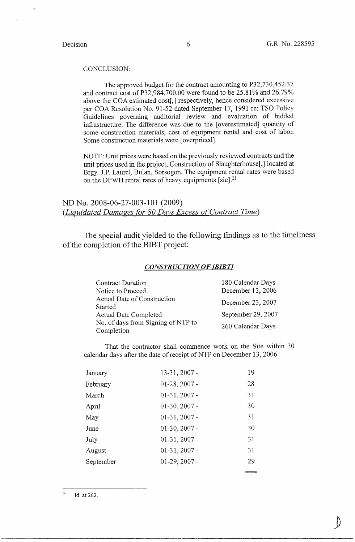### CONCLUSION:

The approved budget for the contract amounting to P32,730,452.37 and contract cost of P32,984,700.00 were found to be 25.81% and 26.79% above the COA estimated cost[,] respectively, hence considered excessive per COA Resolution No. 91-52 dated September 17, 1991 re: TSO Policy Guidelines governing auditorial review and evaluation of bidded infrastructure. The difference was due to the [ overestimated] quantity of some construction materials, cost of equipment rental and cost of labor. Some construction materials were [ overpriced].

NOTE: Unit prices were based on the previously reviewed contracts and the unit prices used in the project, Construction of Slaughterhouse[,] located at Brgy. J.P. Laurel, Bulan, Sorsogon. The equipment rental rates were based on the DPWH rental rates of heavy equipments [sic].<sup>21</sup>

ND No. 2008-06-27-003-101 (2009) *(Liquidated Damages for 80 Days Excess of Contract Time)* 

The special audit yielded to the following findings as to the timeliness of the completion of the BIBT project:

## *CONSTRUCTION OF (BIBT/*

| <b>Contract Duration</b>                         | 180 Calendar Days  |
|--------------------------------------------------|--------------------|
| Notice to Proceed                                | December 13, 2006  |
| Actual Date of Construction<br>Started           | December 23, 2007  |
| <b>Actual Date Completed</b>                     | September 29, 2007 |
| No. of days from Signing of NTP to<br>Completion | 260 Calendar Days  |
|                                                  |                    |

That the contractor shall commence work on the Site within 30 calendar days after the date of receipt of NTP on December 13, 2006

---

| January   | 13-31, 2007 -   | 19 |
|-----------|-----------------|----|
| February  | $01-28, 2007 -$ | 28 |
| March     | $01-31, 2007 -$ | 31 |
| April     | $01-30, 2007$ - | 30 |
| May       | $01-31, 2007 -$ | 31 |
| June      | $01-30, 2007 -$ | 30 |
| July      | $01-31, 2007$ - | 31 |
| August    | $01-31, 2007 -$ | 31 |
| September | $01-29, 2007 -$ | 29 |
|           |                 |    |

 $^{21}$  Id. at 262.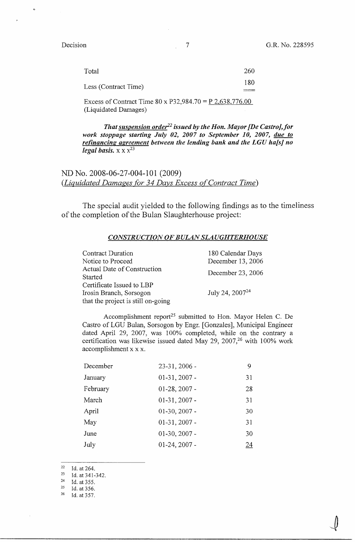$\int$ 

| Total                | 260 |
|----------------------|-----|
| Less (Contract Time) | 180 |
|                      |     |

Excess of Contract Time 80 x P32,984.70 =  $\underline{P}$  2,638,776.00 (Liquidated Damages)

*That suspension order2***<sup>2</sup>***issued by the Hon. Mayor [De Castro],for work stoppage starting July 02, 2007 to September 10, 2007, due to refinancing agreement between the lending bank and the LGU ha[s] no legal basis.*  $x \times x^{23}$ 

ND No. 2008-06-27-004-101 (2009) *(Liquidated Damages for 34 Days Excess of Contract Time)* 

The special audit yielded to the following findings as to the timeliness of the completion of the Bulan Slaughterhouse project:

### *CONSTRUCTION OF BULAN SLAUGHTERHOUSE*

| <b>Contract Duration</b>           | 180 Calendar Days    |
|------------------------------------|----------------------|
| Notice to Proceed                  | December 13, 2006    |
| Actual Date of Construction        | December 23, 2006    |
| Started                            |                      |
| Certificate Issued to LBP          |                      |
| Irosin Branch, Sorsogon            | July 24, $2007^{24}$ |
| that the project is still on-going |                      |

Accomplishment report<sup>25</sup> submitted to Hon. Mayor Helen C. De Castro of LGU Bulan, Sorsogon by Engr. [Gonzales], Municipal Engineer dated April 29, 2007, was 100% completed, while on the contrary a certification was likewise issued dated May 29, 2007,<sup>26</sup> with 100% work accomplishment x x x.

| 23-31, 2006 -   | 9  |
|-----------------|----|
| $01-31, 2007 -$ | 31 |
| $01-28, 2007 -$ | 28 |
| $01-31, 2007$ - | 31 |
| $01-30, 2007 -$ | 30 |
| $01-31, 2007$ - | 31 |
| $01-30, 2007 -$ | 30 |
| $01-24, 2007 -$ | 24 |
|                 |    |

22 Id. at 264.

<sup>23</sup>  Id. at 341-342.

<sup>24</sup>  Id. at 355.

<sup>25</sup>  Id. at 356.

<sup>26</sup>  Id. at 357.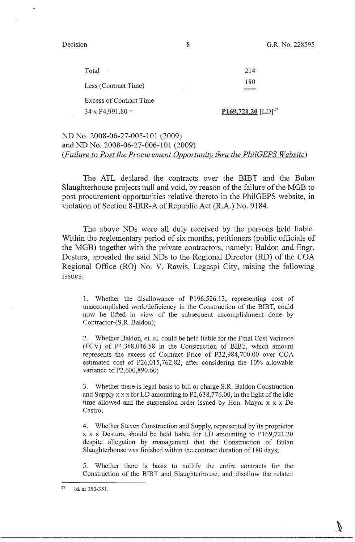G.R. No. 228595

Decision

| Total                          | 214                            |
|--------------------------------|--------------------------------|
| Less (Contract Time)           | 180                            |
| <b>Excess of Contract Time</b> |                                |
| $34 \times P4,991.80 =$        | P169,721.20 [LD] <sup>27</sup> |
|                                |                                |

## ND No. 2008-06-27-005-101 (2009) and ND No. 2008-06-27-006-101 (2009) *(Failure to Post the Procurement Opportunity thru the PhilGEPS Website)*

The ATL declared the contracts over the BIBT and the Bulan Slaughterhouse projects null and void, by reason of the failure of the MGB to post procurement opportunities relative thereto in the PhilGEPS website, in violation of Section 8-IRR-A of Republic Act (R.A.) No. 9184.

The above NDs were all duly received by the persons held liable. Within the reglementary period of six months, petitioners (public officials of the MGB) together with the private contractors, namely: Baldon and Engr. Destura, appealed the said NDs to the Regional Director (RD) of the COA Regional Office (RO) No. V, Rawis, Legaspi City, raising the following issues:

1. Whether the disallowance of P196,526.13, representing cost of unaccomplished work/deficiency in the Construction of the BIBT, could now be lifted in view of the subsequent accomplishment done by Contractor-(S.R. Baldon);

2. Whether Baldon, et. al. could be held liable for the Final Cost Variance (FCV) of P4,368,046.58 in the Construction of BIBT, which amount represents the excess of Contract Price of P32,984,700.00 over COA estimated cost of P26,015,762.82, after considering the 10% allowable variance of P2,600,890.60;

3. Whether there is legal basis to bill or charge S.R. Baldon Construction and Supply xx x for LD amounting to P2,638,776.00, in the light of the idle time allowed and the suspension order issued by Hon. Mayor x x x De Castro;

4. Whether Steven Construction and Supply, represented by its proprietor  $x \times x$  Destura, should be held liable for LD amounting to P169,721.20 despite allegation by management that the Construction of Bulan Slaughterhouse was finished within the contract duration of 180 days;

5. Whether there is basis to nullify the entire contracts for the Construction of the BIBT and Slaughterhouse, and disallow the related

8

<sup>&</sup>lt;sup>27</sup> Id. at  $350 - 351$ .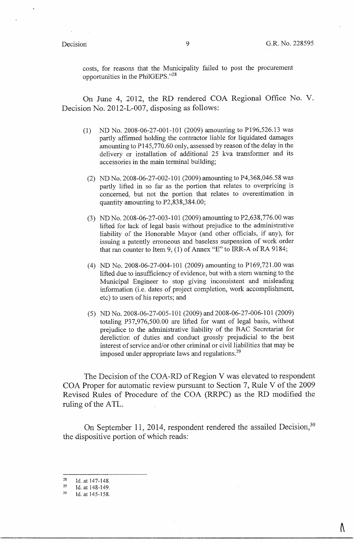Λ

costs, for reasons that the Municipality failed to post the procurement opportunities in the PhilGEPS."<sup>28</sup>

On June 4, 2012, the RD rendered COA Regional Office No. V. Decision No. 2012-L-007, disposing as follows:

- (1) ND No. 2008-06-27-001-101 (2009) amounting to P196,526.13 was partly affirmed holding the contractor liable for liquidated damages amounting to Pl45,770.60 only, assessed by reason of the delay in the delivery or installation of additional 25 kva transformer and its accessories in the main terminal building;
	- (2) ND No. 2008-06-27-002-101 (2009) amounting to P4,368,046.58 was partly lifted in so far as the portion that relates to overpricing is concerned, but not the portion that relates to overestimation in quantity amounting to P2,838,384.00;
	- (3) ND No. 2008-06-27-003-101 (2009) amounting to P2,638,776.00 was lifted for lack of legal basis without prejudice to the administrative liability of the Honorable Mayor (and other officials, if any), for issuing a patently erroneous and baseless suspension of work order that ran counter to Item 9, (1) of Annex "E" to IRR-A of RA 9184;
	- (4) ND No. 2008-06-27-004-101 (2009) amounting to P169,721.00 was lifted due to insufficiency of evidence, but with a stem warning to the Municipal Engineer to stop giving inconsistent and misleading information (i.e. dates of project completion, work accomplishment, etc) to users of his reports; and
	- (5) ND No. 2008-06-27-005-101 (2009) and 2008-06-27-006-101 (2009) totaling P37,976,500.00 are lifted for want of legal basis, without prejudice to the administrative liability of the BAC Secretariat for dereliction of duties and conduct grossly prejudicial to the best interest of service and/or other criminal or civil liabilities that may be imposed under appropriate laws and regulations.<sup>29</sup>

The Decision of the COA-RD of Region V was elevated to respondent COA Proper for automatic review pursuant to Section 7, Rule V of the 2009 Revised Rules of Procedure of the COA (RRPC) as the RD modified the ruling of the ATL.

On September 11, 2014, respondent rendered the assailed Decision,<sup>30</sup> the dispositive portion of which reads:

<sup>28</sup> Id. at 147-148.

<sup>29</sup>  Id. at 148-149.

<sup>30</sup>  Id. at 145-158.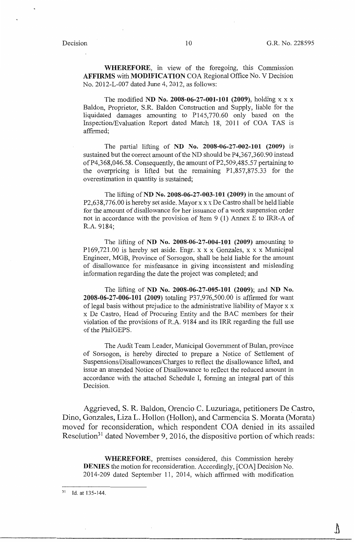**WHEREFORE,** in view of the foregoing, this Commission **AFFIRMS** with **MODIFICATION** COA Regional Office No. V Decision No. 2012-L-007 dated June 4, 2012, as follows:

The modified **ND No. 2008-06-27-001-101 (2009),** holding xx x Baldon, Proprietor, S.R. Baldon Construction and Supply, liable for the liquidated damages amounting to P145,770.60 only based on the Inspection/Evaluation Report dated March 18, 2011 of COA TAS is affirmed;

The partial lifting of **ND No. 2008-06-27-002-101 (2009)** is sustained but the correct amount of the ND should be P4,367,360.90 instead of P4,368,046.58. Consequently, the amount of P2,509,485.57 pertaining to the overpricing is lifted but the remaining Pl,857,875.33 for the overestimation in quantity is sustained;

The lifting of **ND No. 2008-06-27-003-101 (2009)** in the amount of P2,638,776.00 is hereby set aside. Mayor xx x De Castro shall be held liable for the amount of disallowance for her issuance of a work suspension order not in accordance with the provision of Item 9 (1) Annex E to IRR-A of R.A. 9184;

The lifting of **ND No. 2008-06-27-004-101 (2009)** amounting to Pl69,721.00 is hereby set aside. Engr. x x x Gonzales, x x x Municipal Engineer, MGB, Province of Sorsogon, shall be held liable for the amount of disallowance for misfeasance in giving inconsistent and misleading information regarding the date the project was completed; and

The lifting of **ND No. 2008-06-27-005-101 (2009);** and **ND No. 2008-06-27-006-101 (2009)** totaling P37,976,500.00 is affirmed for want of legal basis without prejudice to the administrative liability of Mayor x x x De Castro, Head of Procuring Entity and the BAC members for their violation of the provisions of R.A. 9184 and its IRR regarding the full use of the PhilGEPS.

The Audit Team Leader, Municipal Government of Bulan, province of Sorsogon, is hereby directed to prepare a Notice of Settlement of Suspensions/Disallowances/Charges to reflect the disallowance lifted, and issue an amended Notice of Disallowance to reflect the reduced amount in accordance with the attached Schedule I, forming an integral part of this Decision.

Aggrieved, S. R. Baldon, Orencio C. Luzuriaga, petitioners De Castro, Dino, Gonzales, Liza L. Hollon (Hollon), and Carmencita S. Morata (Morata) moved for reconsideration, which respondent COA denied in its assailed Resolution<sup>31</sup> dated November 9, 2016, the dispositive portion of which reads:

**WHEREFORE,** premises considered, this Commission hereby **DENIES** the motion for reconsideration. Accordingly, [COA] Decision No. 2014-209 dated September 11, 2014, which affirmed with modification

 $31$  Id. at 135-144.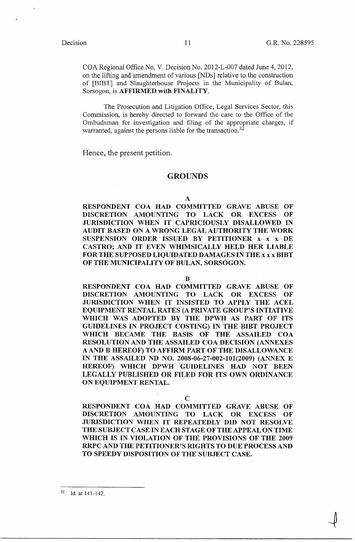COA Regional Office No. V. Decision No. 2012-L-007 dated June 4, 2012, on the lifting and amendment of various [NDs] relative to the construction of [BIBT] and Slaughterhouse Projects in the Municipality of Bulan, Sorsogon, is **AFFIRMED with FINALITY.** 

The Prosecution and Litigation Office, Legal Services Sector, this Commission, is hereby directed to forward the case to the Office of the Ombudsman for investigation and filing of the appropriate charges, if warranted, against the persons liable for the transaction.<sup>32</sup>

Hence, the present petition.

### **GROUNDS**

**A** 

**RESPONDENT COA HAD COMMITTED GRAVE ABUSE OF DISCRETION AMOUNTING TO LACK OR EXCESS OF JURISDICTION WHEN IT CAPRICIOUSLY DISALLOWED IN AUDIT BASED ON A WRONG LEGAL AUTHORITY THE WORK SUSPENSION ORDER ISSUED BY PETITIONER x x x DE CASTRO; AND IT EVEN WHIMSICALLY HELD HER LIABLE FOR THE SUPPOSED LIQUIDATED DAMAGES IN THE xx x BIBT OF THE MUNICIPALITY OF BULAN, SORSOGON.** 

**B** 

**RESPONDENT COA HAD COMMITTED GRAVE ABUSE OF DISCRETION AMOUNTING TO LACK OR EXCESS OF JURISD][CTION WHEN IT INSISTED TO APPLY THE ACEL EQUIPMENT RENTAL RATES (A PRIVATE GROUP'S INTIATIVE WHICH WAS ADOPTED BY THE DPWH AS PART** OF **ITS GUIDELINES IN PROJECT COSTING)** IN **THE BIBT PROJECT WHICH BECAME THE BASIS OF THE ASSAILED COA RESOLUTION AND THE ASSAILED COA DECISION (ANNEXES A AND B HEREOF) TO AFFIRM PART OF THE DISALLOWANCE IN THE ASSAILED ND NO. 2008-06-27-002-101(2009) (ANNEX E HEREOF) WHICH DPWH "GUIDELINES HAD NOT BEEN LEGALLY PUBLISHED OR FILED FOR ITS OWN ORDINANCE ON EQUIPMENT RENTAL.** 

**C** 

**RESPONDENT COA HAD COMMITTED GRAVE ABUSE OF DISCRETION AMOUNTING TO LACK OR EXCESS OF** JURISDICTION WHEN IT REPEATEDLY **DID** NOT RESOLVE THE SUBJECT CASE IN EACH STAGE OF THE APPEAL ON TIME WHICH IS IN VIOLATION OF THE PROVISIONS OF THE 2009 RRPC AND THE PETITIONER'S RIGHTS TO DUE PROCESS AND TO SPEEDY DISPOSITION OF THE SUBJECT CASE.

32 Id. at 141-142.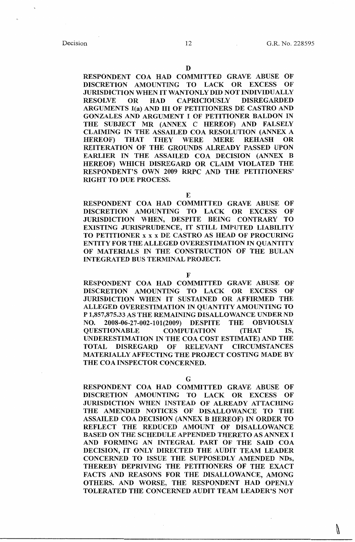### D

RESPONDENT COA HAD COMMITTED GRAVE ABUSE OF DISCRETION AMOUNTING TO LACK OR EXCESS OF JURISDICTION WHEN IT WANTONLY DID NOT INDIVIDUALLY RESOLVE OR HAD CAPRICIOUSLY DISREGARDED ARGUMENTS I(a) AND III OF PETITIONERS DE CASTRO AND GONZALES AND ARGUMENT I OF PETITIONER BALDON IN THE SUBJECT MR (ANNEX C HEREOF) AND FALSELY CLAIMING IN THE ASSAILED COA RESOLUTION (ANNEX A HEREOF) THAT THEY WERE MERE REHASH OR REITERATION OF THE GROUNDS ALREADY PASSED UPON EARLIER IN THE ASSAILED COA DECISION (ANNEX B HEREOF) WHICH DISREGARD OR CLAIM VIOLATED THE RESPONDENT'S OWN 2009 RRPC AND THE PETITIONERS' RIGHT TO DUE PROCESS.

### E

 RESPONDENT COA HAD COMMITTED GRAVE ABUSE OF DISCRETION AMOUNTING TO LACK OR EXCESS OF JURISDICTION WHEN, DESPITE BEING CONTRARY TO EXISTING JURISPRUDENCE, IT STILL IMPUTED LIABILITY TO PETITIONER x x x DE CASTRO AS HEAD OF PROCURING ENTITY FOR THE ALLEGED OVERESTIMATION IN QUANTITY OF MATERIALS IN THE CONSTRUCTION OF THE BULAN INTEGRATED BUS TERMINAL PROJECT.

### F

RESPONDENT COA HAD COMMITTED GRAVE ABUSE OF DISCRETION AMOUNTING TO LACK OR EXCESS OF JURISDICTION WHEN IT SUSTAINED OR AFFIRMED THE ALLEGED OVERESTIMATION IN QUANTITY AMOUNTING **TO**  P 1,857,875.33 AS THE REMAINING DISALLOWANCE UNDER ND NO. 2008-06-27-002-101(2009) DESPITE THE OBVIOUSLY QUESTIONABLE COMPUTATION (THAT IS, UNDERESTIMATION IN THE COA COST ESTIMATE) AND THE TOTAL DISREGARD OF RELEVANT CIRCUMSTANCES MATERIALLY AFFECTING THE PROJECT COSTING MADE BY THE COA INSPECTOR CONCERNED.

### G

RESPONDENT COA HAD COMMITTED GRAVE ABUSE OF DISCRETION AMOUNTING TO LACK OR EXCESS OF JURISDICTION WHEN INSTEAD OF ALREADY ATTACHING THE AMENDED NOTICES OF DISALLOWANCE TO THE ASSAILED COA DECISION (ANNEX B HEREOF) IN ORDER TO REFLECT THE REDUCED AMOUNT OF DISALLOWANCE BASED ON THE SCHEDULE APPENDED THERETO AS ANNEX I AND FORMING AN INTEGRAL PART OF THE SAID COA DECISION, IT ONLY DIRECTED THE AUDIT TEAM LEADER CONCERNED TO ISSUE THE SUPPOSEDLY AMENDED NDs, THEREBY DEPRIVING THE PETITIONERS OF THE EXACT FACTS AND REASONS FOR THE DISALLOWANCE, AMONG OTHERS. AND WORSE, THE RESPONDENT HAD OPENLY TOLERATED THE CONCERNED AUDIT TEAM LEADER'S NOT

N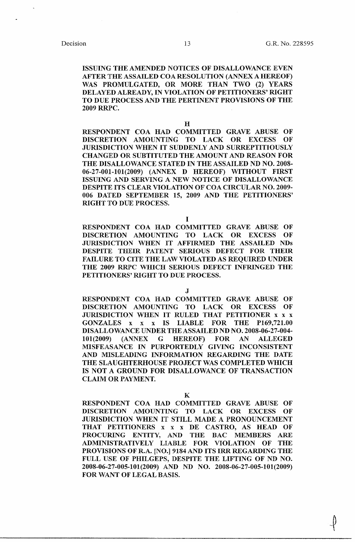-~ '

ISSUING THE AMENDED NOTICES OF DISALLOWANCE EVEN AFTER THE ASSAILED COA RESOLUTION (ANNEX A HEREOF) WAS PROMULGATED, OR MORE THAN TWO (2) YEARS DELAYED ALREADY, IN VIOLATION OF PETITIONERS' RIGHT TO DUE PROCESS AND THE PERTINENT PROVISIONS OF THE 2009 RRPC.

H

RESPONDENT COA HAD COMMITTED GRAVE ABUSE OF DISCRETION AMOUNTING TO LACK OR EXCESS OF JURISDICTION WHEN IT SUDDENLY AND SURREPTITIOUSLY CHANGED OR SUBTITUTED THE AMOUNT AND REASON FOR THE DISALLOWANCE STATED IN THE ASSAILED ND NO. 2008- 06-27-001-101(2009) (ANNEX D HEREOF) WITHOUT FIRST ISSUING AND SERVING A NEW NOTICE OF DISALLOWANCE DESPITE ITS CLEAR VIOLATION OF COA CIRCULAR NO. 2009-006 DATED SEPTEMBER 15, 2009 AND THE PETITIONERS' RIGHT TO DUE PROCESS.

I

RESPONDENT COA HAD COMMITTED GRAVE ABUSE OF DISCRETION AMOUNTING TO LACK OR EXCESS OF JURISDICTION WHEN IT AFFIRMED THE ASSAILED NDs DESPITE THEIR PATENT SERIOUS DEFECT FOR THEIR FAILURE TO CITE THE LAW VIOLATED AS REQUIRED UNDER THE 2009 RRPC WHICH SERIOUS DEFECT INFRINGED THE PETITIONERS' RIGHT TO DUE PROCESS.

J

RESPONDENT COA HAD COMMITTED GRAVE ABUSE OF DISCRETION AMOUNTING TO LACK OR EXCESS OF JURISDICTION WHEN IT RULED THAT PETITIONER x x x GONZALES x x x IS LIABLE FOR THE P169,721.00 DISALLOWANCE UNDER THE ASSAILED ND NO. 2008-06-27-004- 101(2009) (ANNEX G HEREOF) FOR AN ALLEGED MISFEASANCE IN PURPORTEDLY GIVING INCONSISTENT AND MISLEADING INFORMATION REGARDING THE DATE THE SLAUGHTERHOUSE PROJECT WAS COMPLETED WHICH IS NOT A GROUND FOR DISALLOWANCE OF TRANSACTION CLAIM OR PAYMENT.

K

RESPONDENT COA HAD COMMITTED GRAVE ABUSE OF DISCRETION AMOUNTING TO LACK OR EXCESS OF JURISDICTION WHEN IT STILL MADE A PRONOUNCEMENT THAT PETITIONERS x x x DE CASTRO, AS HEAD OF PROCURING ENTITY, AND THE BAC MEMBERS ARE ADMINISTRATIVELY LIABLE FOR VIOLATION OF THE PROVISIONS OF R.A. [NO.] 9184 AND ITS IRR REGARDING THE FULL USE OF PHILGEPS, DESPITE THE LIFTING OF ND NO. 2008-06-27-005-101(2009) AND ND NO. 2008-06-27-005-101(2009) FOR WANT OF LEGAL BASIS.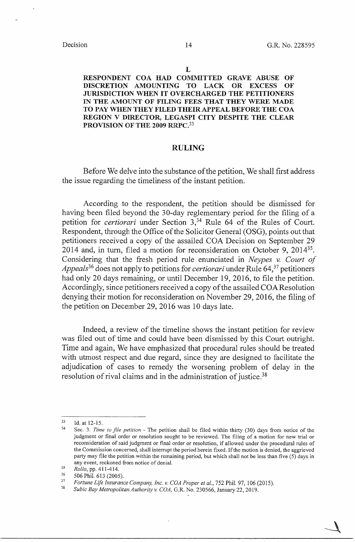### **L**

**RESPONDENT COA HAD COMMITTED GRAVE ABUSE OF DISCRETION AMOUNTING TO LACK OR EXCESS OF JURISDICTION WHEN IT OVERCHARGED THE PETITIONERS IN THE AMOUNT OF FILING FEES THAT THEY WERE MADE TO PAY WHEN THEY FILED THEIR APPEAL BEFORE THE COA REGION V DIRECTOR, LEGASPI CITY DESPITE THE CLEAR PROVISION OF THE 2009 RRPC.<sup>33</sup>**

## **RULING**

Before We delve into the substance of the petition, We shall first address the issue regarding the timeliness of the instant petition.

According to the respondent, the petition should be dismissed for having been filed beyond the 30-day reglementary period for the filing of a petition for *certiorari* under Section 3,34 Rule 64 of the Rules of Court. Respondent, through the Office of the Solicitor General (OSG), points out that petitioners received a copy of the assailed COA Decision on September 29 2014 and, in tum, filed a motion for reconsideration on October 9, 2014<sup>35</sup> . Considering that the fresh period rule enunciated in *Neypes v. Court of Appeals*<sup>36</sup> does not apply to petitions for *certiorari* under Rule 64,<sup>37</sup> petitioners had only 20 days remaining, or until December 19, 2016, to file the petition. Accordingly, since petitioners received a copy of the assailed COAResolution denying their motion for reconsideration on November 29, 2016, the filing of the petition on December 29, 2016 was 10 days late.

Indeed, a review of the timeline shows the instant petition for review was filed out of time and could have been dismissed by this Court outright. Time and again, We have emphasized that procedural rules should be treated with utmost respect and due regard, since they are designed to facilitate the adjudication of cases to remedy the worsening problem of delay in the resolution of rival claims and in the administration of justice.<sup>38</sup>

<sup>33</sup> Id. at 12-15.

<sup>34</sup> Sec. 3. *Time to file petition* - The petition shall be filed within thirty (30) days from notice of the judgment or final order or resolution sought to be reviewed. The filing of a motion for new trial or reconsideration of said judgment or final order or resolution, if allowed under the procedural rules of the Commission concerned, shall interrupt the period herein fixed. If the motion is denied, the aggrieved party may file the petition within the remaining period, but which shall not be less than five (5) days in any event, reckoned from notice of denial.

<sup>&</sup>lt;sup>35</sup> Rollo, pp. 411-414.

 $\frac{36}{37}$  506 Phil. 613 (2005).

<sup>&</sup>lt;sup>37</sup> Fortune Life Insurance Company, Inc. v. COA Proper et al., 752 Phil. 97, 106 (2015).

<sup>38</sup>*Subic Bay Metropolitan Authority v. COA,* G.R. No. 230566, January 22, 2019.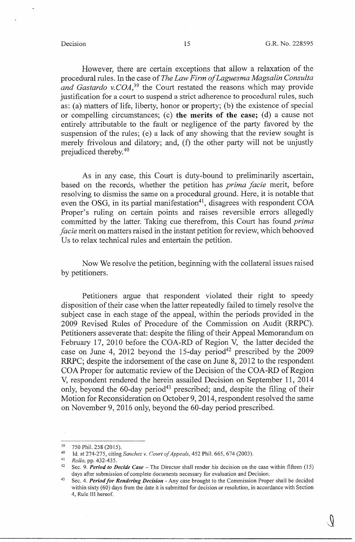However, there are certain exceptions that allow a relaxation of the procedural rules. In the case of *The Law Firm ofLaguesma Magsalin Consulta and Gastardo v. COA*,<sup>39</sup> the Court restated the reasons which may provide justification for a court to suspend a strict adherence to procedural rules, such as: (a) matters of life, liberty, honor or property; (b) the existence of special or compelling circumstances; (c) the merits of the case; (d) a cause not entirely attributable to the fault or negligence of the party favored by the suspension of the rules; (e) a lack of any showing that the review sought is merely frivolous and dilatory; and, (f) the other party will not be unjustly prejudiced thereby. 40

As in any case, this Court is duty-bound to preliminarily ascertain, based on the records, whether the petition has *prima facie* merit, before resolving to dismiss the same on a procedural ground. Here, it is notable that even the OSG, in its partial manifestation<sup>41</sup>, disagrees with respondent COA Proper's ruling on certain points and raises reversible errors allegedly committed by the latter. Taking cue therefrom, this Court has found *prima facie* merit on matters raised in the instant petition for review, which behooved Us to relax technical rules and entertain the petition.

Now We resolve the petition, beginning with the collateral issues raised by petitioners.

Petitioners argue that respondent violated their right to speedy disposition of their case when the latter repeatedly failed to timely resolve the subject case in each stage of the appeal, within the periods provided in the 2009 Revised Rules of Procedure of the Commission on Audit (RRPC). Petitioners asseverate that: despite the filing of their Appeal Memorandum on February 17, 2010 before the COA-RD of Region V, the latter decided the case on June 4, 2012 beyond the 15-day period<sup>42</sup> prescribed by the 2009 RRPC; despite the indorsement of the case on June 8, 2012 to the respondent COA Proper for automatic review of the Decision of the COA-RD of Region V, respondent rendered the herein assailed Decision on September 11, 2014 only, beyond the  $60$ -day period<sup>43</sup> prescribed; and, despite the filing of their Motion for Reconsideration on October 9, 2014, respondent resolved the same on November 9, 2016 only, beyond the 60-day period prescribed.

 $^{39}$  750 Phil. 258 (2015).

<sup>40</sup> Id. at 274-275, citing *Sanchez v. Court of Appeals,* 452 Phil. 665, 674 (2003).

<sup>41</sup>*Rollo,* pp. 432-435.

<sup>42</sup> Sec. 9. *Period to Decide Case* - The Director shall render his decision on the case within fifteen (15) days after submission of complete documents necessary for evaluation and Decision.

<sup>43</sup> Sec. 4. *Period for Rendering Decision* - Any case brought to the Commission Proper shall be decided within sixty (60) days from the date it is submitted for decision or resolution, in accordance with Section 4, Rule III hereof.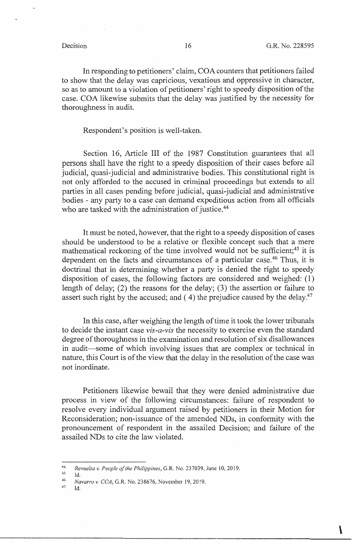$\mathbf{r}$ 

In responding to petitioners' claim, COA counters that petitioners failed to show that the delay was capricious, vexatious and oppressive in character, so as to amount to a violation of petitioners' right to speedy disposition of the case. COA likewise submits that the delay was justified by the necessity for thoroughness in audit.

### Respondent's position is well-taken.

Section 16, Article III of the 1987 Constitution guarantees that all persons shall have the right to a speedy disposition of their cases before all judicial, quasi-judicial and administrative bodies. This constitutional right is not only afforded to the accused in criminal proceedings but extends to all parties in all cases pending before judicial, quasi-judicial and administrative bodies - any party to a case can demand expeditious action from all officials who are tasked with the administration of justice.<sup>44</sup>

It must be noted, however, that the right to a speedy disposition of cases should be understood to be a relative or flexible concept such that a mere mathematical reckoning of the time involved would not be sufficient;<sup>45</sup> it is dependent on the facts and circumstances of a particular case.<sup>46</sup> Thus, it is doctrinal that in determining whether a party is denied the right to speedy disposition of cases, the following factors are considered and weighed: ( 1) length of delay; (2) the reasons for the delay; (3) the assertion or failure to assert such right by the accused; and  $(4)$  the prejudice caused by the delay.<sup>47</sup>

In this case, after weighing the length of time it took the lower tribunals to decide the instant case *vis-a-vis* the necessity to exercise even the standard degree of thoroughness in the examination and resolution of six disallowances in audit-some of which involving issues that are complex or technical in nature, this Court is of the view that the delay in the resolution of the case was not inordinate.

Petitioners likewise bewail that they were denied administrative due process in view of the following circumstances: failure of respondent to resolve every individual argument raised by petitioners in their Motion for Reconsideration; non-issuance of the amended NDs, in conformity with the pronouncement of respondent in the assailed Decision; and failure of the assailed NDs to cite the law violated.

<sup>44</sup>*Revue/ta v. People of the Philippines,* G.R. No. 237039, June 10, 2019.

 $^{45}$  Id.

<sup>46</sup>*Navarro v. COA,* G.R. No. 238676, November 19, 2019.

 $^{47}$  Id.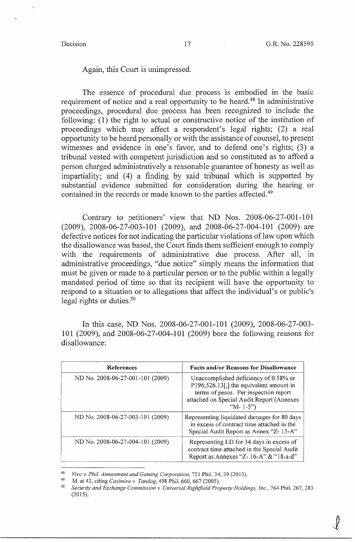*i* 

## Again, this Court is unimpressed.

The essence of procedural due process is embodied in the basic requirement of notice and a real opportunity to be heard.<sup>48</sup> In administrative proceedings, procedural due process has been recognized to include the following: (1) the right to actual or constructive notice of the institution of proceedings which may affect a respondent's legal rights; (2) a real opportunity to be heard personally or with the assistance of counsel, to present witnesses and evidence in one's favor, and to defend one's rights; (3) a tribunal vested with competent jurisdiction and so constituted as to afford a person charged administratively a reasonable guarantee of honesty as well as impartiality; and  $(4)$  a finding by said tribunal which is supported by substantial evidence submitted for consideration during the hearing or contained in the records or made known to the parties affected.<sup>49</sup>

Contrary to petitioners' view that ND Nos. 2008-06-27-001-101 (2009), 2008-06-27-003-101 (2009), and 2008-06-27-004-101 (2009) are defective notices for not indicating the particular violations of law upon which the disallowance was based, the Court finds them sufficient enough to comply with the requirements of administrative due process. After all, in administrative proceedings, "due notice" simply means the information that must be given or made to a particular person or to the public within a legally mandated period of time so that its recipient will have the opportunity to respond to a situation or to allegations that affect the individual's or public's legal rights or duties.<sup>50</sup>

In this case, ND Nos. 2008-06-27-001-101 (2009), 2008-06-27-003- 101 (2009), and 2008-06-27-004-101 (2009) bore the following reasons for disallowance:

| <b>References</b>                | <b>Facts and/or Reasons for Disallowance</b>                                                                                                                                           |
|----------------------------------|----------------------------------------------------------------------------------------------------------------------------------------------------------------------------------------|
| ND No. 2008-06-27-001-101 (2009) | Unaccomplished deficiency of 0.58% or<br>P196,526.13[,] the equivalent amount in<br>terms of pesos. Per inspection report<br>attached on Special Audit Report (Annexes<br>"M- $1-5$ ") |
| ND No. 2008-06-27-003-101 (2009) | Representing liquidated damages for 80 days<br>in excess of contract time attached in the<br>Special Audit Report as Annex "Z-15-A"                                                    |
| ND No. 2008-06-27-004-101 (2009) | Representing LD for 34 days in excess of<br>contract time attached in the Special Audit<br>Report as Annexes "Z-16-A" & "18-a-d"                                                       |

<sup>48</sup>*Vivo v. Phil. Amusement and Gaming Corporation,* 721 Phil. 34, 39(2013).

<sup>49</sup> Id. at 43, citing *Casimiro v. Tandog,* 498 Phil. 660, 667 (2005).

<sup>50</sup>*Security and Exchange Commission v. Universal Rightjield Property Holdings, Inc.,* 764 Phil. 267, 283 (2015).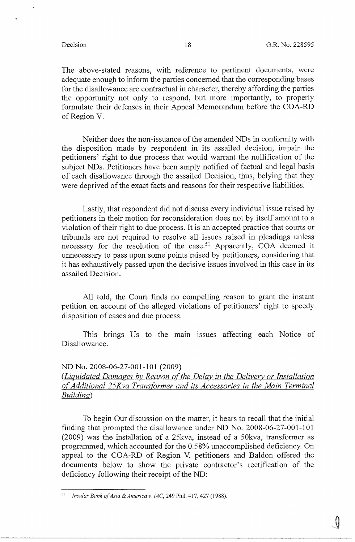The above-stated reasons, with reference to pertinent documents, were adequate enough to inform the parties concerned that the corresponding bases for the disallowance are contractual in character, thereby affording the parties the opportunity not only to respond, but more importantly, to properly formulate their defenses in their Appeal Memorandum before the COA-RD of Region V.

Neither does the non-issuance of the amended NDs in conformity with the disposition made by respondent in its assailed decision, impair the petitioners' right to due process that would warrant the nullification of the subject NDs. Petitioners have been amply notified of factual and legal basis of each disallowance through the assailed Decision, thus, belying that they were deprived of the exact facts and reasons for their respective liabilities.

Lastly, that respondent did not discuss every individual issue raised by petitioners in their motion for reconsideration does not by itself amount to a violation of their right to due process. It is an accepted practice that courts or tribunals are not required to resolve all issues raised in pleadings unless necessary for the resolution of the case.<sup>51</sup> Apparently, COA deemed it unnecessary to pass upon some points raised by petitioners, considering that it has exhaustively passed upon the decisive issues involved in this case in its assailed Decision.

All told, the Court finds no compelling reason to grant the instant petition on account of the alleged violations of petitioners' right to speedy disposition of cases and due process.

This brings Us to the main issues affecting each Notice of Disallowance.

### ND No. 2008-06-27-001-101 (2009)

*(Liquidated Damages by Reason of the Delay in the Delivery or Installation o{Additional 25Kva Transformer and its Accessories in the Main Terminal Building)* 

To begin Our discussion on the matter, it bears to recall that the initial finding that prompted the disallowance under ND No. 2008-06-27-001-101 (2009) was the installation of a 25kva, instead of a 50kva, transformer as programmed, which accounted for the 0.58% unaccomplished deficiency. On appeal to the COA-RD of Region V, petitioners and Baldon offered the documents below to show the private contractor's rectification of the deficiency following their receipt of the ND:

<sup>51</sup>*Insular Bank of Asia & America v. !AC,* 249 Phil. 417, 427 (1988).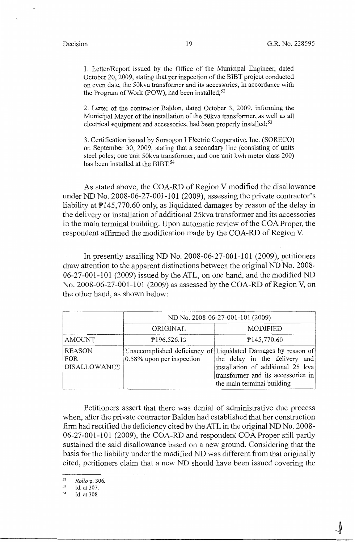1. Letter/Report issued by the Office of the Municipal Engineer, dated October 20, 2009, stating that per inspection of the BIBT project conducted on even date, the 50kva transformer and its accessories, in accordance with the Program of Work (POW), had been installed;<sup>52</sup>

2. Letter of the contractor Baldon, dated October 3, 2009, informing the Municipal Mayor of the installation of the 50kva transformer, as well as all electrical equipment and accessories, had been properly installed; $53$ 

3. Certification issued by Sorsogon I Electric Cooperative, Inc. (SORECO) on September 30, 2009, stating that a secondary line (consisting of units steel poles; one unit 50kva transformer; and one unit kwh meter class 200) has been installed at the BIBT.<sup>54</sup>

As stated above, the COA-RD of Region V modified the disallowance under ND No. 2008-06-27-001-101 (2009), assessing the private contractor's liability at P145,770.60 only, as liquidated damages by reason of the delay in the delivery or installation of additional 25kva transformer and its accessories in the main terminal building. Upon automatic review of the COA Proper, the respondent affirmed the modification made by the COA-RD of Region V.

In presently assailing ND No. 2008-06-27-001-101 (2009), petitioners draw attention to the apparent distinctions between the original ND No. 2008-  $06-27-001-101$  (2009) issued by the ATL, on one hand, and the modified ND No. 2008-06-27-001-101 (2009) as assessed by the COA-RD of Region V, on the other hand, as shown below:

|                                             | ND No. 2008-06-27-001-101 (2009) |                                                                                                                                                                                                        |  |  |  |  |
|---------------------------------------------|----------------------------------|--------------------------------------------------------------------------------------------------------------------------------------------------------------------------------------------------------|--|--|--|--|
|                                             | ORIGINAL                         | <b>MODIFIED</b>                                                                                                                                                                                        |  |  |  |  |
| <b>AMOUNT</b>                               | P196,526.13                      | P145,770.60                                                                                                                                                                                            |  |  |  |  |
| <b>REASON</b><br>FOR<br><b>DISALLOWANCE</b> | 0.58% upon per inspection        | Unaccomplished deficiency of Liquidated Damages by reason of<br>the delay in the delivery and<br>installation of additional 25 kva<br>transformer and its accessories in<br>the main terminal building |  |  |  |  |

Petitioners assert that there was denial of administrative due process when, after the private contractor Baldon had established that her construction firm had rectified the deficiency cited by the ATL in the original ND No. 2008- 06-27-001-101 (2009), the COA-RD and respondent COA Proper still partly sustained the said disallowance based on a new ground. Considering that the basis for the liability under the modified ND was different from that originally cited, petitioners claim that a new ND should have been issued covering the

<sup>52</sup>*Rollo* p. 306.

<sup>53</sup> Id. at 307.

<sup>54</sup> Id. at 308.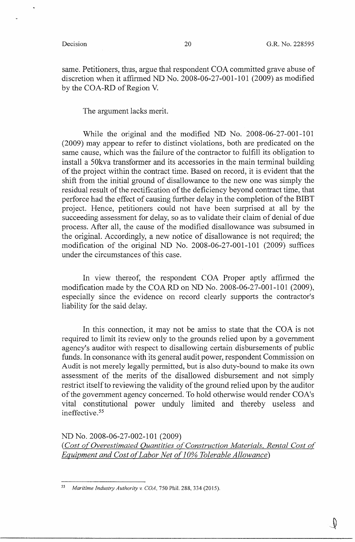'~

same. Petitioners, thus, argue that respondent COA committed grave abuse of discretion when it affirmed ND No. 2008-06-27-001-101 (2009) as modified by the COA-RD of Region V.

The argument lacks merit.

While the original and the modified ND No. 2008-06-27-001-101 (2009) may appear to refer to distinct violations, both are predicated on the same cause, which was the failure of the contractor to fulfill its obligation to install a 50kva transformer and its accessories in the main terminal building of the project within the contract time. Based on record, it is evident that the shift from the initial ground of disallowance to the new one was simply the residual result of the rectification of the deficiency beyond contract time, that perforce had the effect of causing further delay in the completion of the BIBT project. Hence, petitioners could not have been surprised at all by the succeeding assessment for delay, so as to validate their claim of denial of due process. After all, the cause of the modified disallowance was subsumed in the original. Accordingly, a new notice of disallowance is not required; the modification of the original ND No. 2008-06-27-001-101 (2009) suffices under the circumstances of this case.

In view thereof, the respondent COA Proper aptly affirmed the modification made by the COARD on ND No. 2008-06-27-001-101 (2009), especially since the evidence on record clearly supports the contractor's liability for the said delay.

In this connection, it may not be amiss to state that the COA is not required to limit its review only to the grounds relied upon by a government agency's auditor with respect to disallowing certain disbursements of public funds. In consonance with its general audit power, respondent Commission on Audit is not merely legally permitted, but is also duty-bound to make its own assessment of the merits of the disallowed disbursement and not simply restrict itself to reviewing the validity of the ground relied upon by the auditor of the government agency concerned. To hold otherwise would render COA's vital constitutional power unduly limited and thereby useless and ineffective. 55

ND No. 2008-06-27-002-101 (2009) ( *Cost of Overestimated Quantities of Construction Materials, Rental Cost of Equipment and Cost of Labor Net of 10% Tolerable Allowance*)

<sup>55</sup>*Maritime Industry Authority v. COA,* 750 Phil. 288, 334 (2015).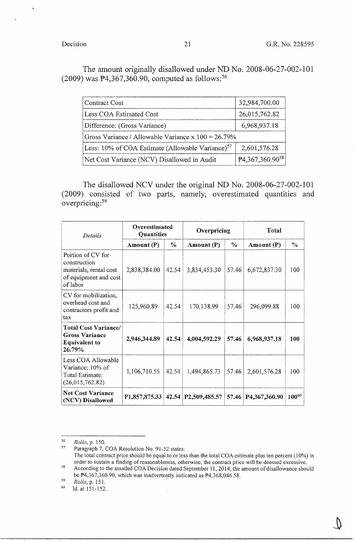The amount originally disallowed under ND No. 2008-06-27-002-101 (2009) was  $P4,367,360.90$ , computed as follows:<sup>56</sup>

| Contract Cost                                                | 32,984,700.00        |  |  |  |  |
|--------------------------------------------------------------|----------------------|--|--|--|--|
| Less COA Estimated Cost                                      | 26,015,762.82        |  |  |  |  |
| Difference: (Gross Variance)                                 | 6,968,937.18         |  |  |  |  |
| Gross Variance / Allowable Variance x $100 = 26.79\%$        |                      |  |  |  |  |
| Less: 10% of COA Estimate (Allowable Variance) <sup>57</sup> | 2,601,576.28         |  |  |  |  |
| Net Cost Variance (NCV) Disallowed in Audit                  | $P4,367,360.90^{58}$ |  |  |  |  |

The disallowed NCV under the original ND No. 2008-06-27-002-101 (2009) consisted of two parts, namely, overestimated quantities and overpricing: <sup>59</sup>

| Details                                                                                          | Overestimated<br>Quantities |       | Overpricing                  |       | Total         |            |
|--------------------------------------------------------------------------------------------------|-----------------------------|-------|------------------------------|-------|---------------|------------|
|                                                                                                  | Amount $(P)$                | $\%$  | Amount $(P)$                 | $\%$  | Amount $(P)$  | $\%$       |
| Portion of CV for<br>construction<br>materials, rental cost<br>of equipment and cost<br>of labor | 2,838,384.00                | 42.54 | 3,834,453.30                 | 57.46 | 6,672,837.30  | 100        |
| CV for mobilization,<br>overhead cost and<br>contractors profit and<br>tax                       | 125,960.89                  | 42.54 | 170,138.99                   | 57.46 | 296,099.88    | 100        |
| <b>Total Cost Variance/</b><br><b>Gross Variance</b><br><b>Equivalent to</b><br>26.79%           | 2,946,344.89                | 42.54 | 4,004,592.29                 | 57.46 | 6,968,937.18  | 100        |
| Less COA Allowable<br>Variance: 10% of<br>Total Estimate:<br>(26,015,762.82)                     | 1,106,710.55                | 42.54 | 1,494,865.73                 | 57.46 | 2,601,576.28  | 100        |
| <b>Net Cost Variance</b><br>(NCV) Disallowed                                                     | P <sub>1</sub> ,857,875.33  | 42.54 | P <sub>2</sub> , 509, 485.57 | 57.46 | P4,367,360.90 | $100^{60}$ |

<sup>56</sup>*Rollo,* p. 150.

Paragraph 7, COA Resolution No. 91-52 states: The total contract price should be equal to or less than the total COA estimate plus ten percent ( 10%) in order to sustain a finding of reasonableness, otherwise, the contract price will be deemed excessive. 58 According to the assailed COA Decision dated September 11, 2014, the amount of disallowance should

be  $\overline{P}4,367,360.90$ , which was inadvertently indicated as  $\overline{P}4,368,046.58$ .

 $59$  Rollo, p. 151.<br>  $50$  Id at 151-152

<sup>&</sup>lt;sup>60</sup> Id. at 151-152.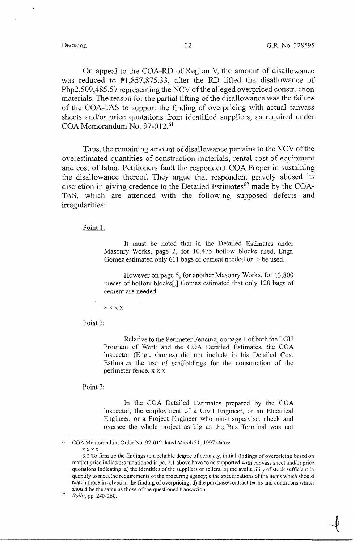$\ddot{\phantom{1}}$ 

On appeal to the COA-RD of Region V, the amount of disallowance was reduced to Pl,857,875.33, after the RD lifted the disallowance of Php2,509,485.57 representing the NCV of the alleged overpriced construction materials. The reason for the partial lifting of the disallowance was the failure of the COA-TAS to support the finding of overpricing with actual canvass sheets and/or price quotations from identified suppliers, as required under COA Memorandum No. 97-012.<sup>61</sup>

Thus, the remaining amount of disallowance pertains to the NCV of the overestimated quantities of construction materials, rental cost of equipment and cost of labor. Petitioners fault the respondent COA Proper in sustaining the disallowance thereof. They argue that respondent gravely abused its discretion in giving credence to the Detailed Estimates<sup>62</sup> made by the COA-TAS, which are attended with the following supposed defects and irregularities:

Point 1:

It must be noted that in the Detailed Estimates under Masonry Works, page 2, for 10,475 hollow blocks used, Engr. Gomez estimated only 611 bags of cement needed or to be used.

However on page 5, for another Masonry Works, for 13,800 pieces of hollow blocks[,] Gomez estimated that only 120 bags of cement are needed.

xxxx

Point 2:

Relative to the Perimeter Fencing, on page 1 of both the LGU Program of Work and the COA Detailed Estimates, the COA inspector (Engr. Gomez) did not include in his Detailed Cost Estimates the use of scaffoldings for the construction of the perimeter fence. x x x

Point 3:

In the COA Detailed Estimates prepared by the COA inspector, the employment of a Civil Engineer, or an Electrical Engineer, or a Project Engineer who must supervise, check and oversee the whole project as big as the Bus Terminal was not

COA Memorandum Order No. 97-012 dated March 31, 1997 states:

xxxx

<sup>3.2</sup> To firm up the findings to a reliable degree of certainty, initial findings of overpricing based on market price indicators mentioned in pa. 2.1 above have to be supported with canvass sheet and/or price quotations indicating: a) the identities of the suppliers or sellers; b) the availability of stock sufficient in quantity to meet the requirements of the procuring agency; c the specifications of the items which should match those involved in the finding of overpricing; d) the purchase/contract terms and conditions which should be the same as those of the questioned transaction.

<sup>62</sup>*Rollo,* pp. 240-260.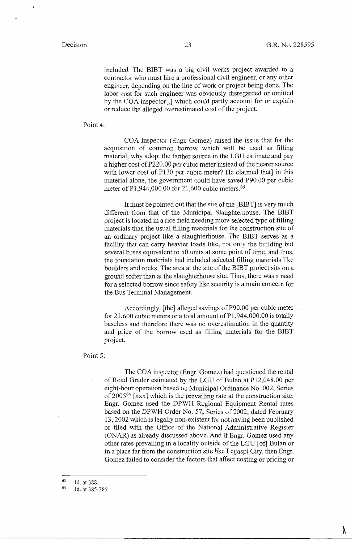N

included. The BIBT was a big civil works project awarded to a contractor who must hire a professional civil engineer, or any other engineer, depending on the line of work or project being done. The labor cost for such engineer was obviously disregarded or omitted by the COA inspector[,] which could partly account for or explain or reduce the alleged overestimated cost of the project.

### Point 4:

COA Inspector (Engr. Gomez) raised the issue that for the acquisition of common borrow which will be used as filling material, why adopt the farther source in the LGU estimate and pay a higher cost of P220.00 per cubic meter instead of the nearer source with lower cost of P130 per cubic meter? He claimed that] in this material alone, the government could have saved P90.00 per cubic meter of P1,944,000.00 for 21,600 cubic meters.  $63$ 

It must be pointed out that the site of the [BIBT] is very much different from that of the Municipal Slaughterhouse. The BIBT project is located in a rice field needing more selected type of filling materials than the usual filling materials for the construction site of an ordinary project like a slaughterhouse. The BIBT serves as a facility that can carry heavier loads like, not only the building but several buses equivalent to 50 units at some point of time, and thus, the foundation materials had included selected filling materials like boulders and rocks. The area at the site of the BIBT project sits on a ground softer than at the slaughterhouse site. Thus, there was a need for a selected borrow since safety like security is a main concern for the Bus Terminal Management.

Accordingly, [the] alleged savings of P90.00 per cubic meter for 21,600 cubic meters or a total amount of Pl,944,000.00 is totally baseless and therefore there was no overestimation in the quantity and price of the borrow used as filling materials for the BIBT project.

Point 5:

The COA inspector (Engr. Gomez) had questioned the rental of Road Grader estimated by the LGU of Bulan at Pl2,048.00 per eight-hour operation based on Municipal Ordinance No. 002, Series of 2005<sup>64</sup> [xxx] which is the prevailing rate at the construction site. Engr. Gomez used the DPWH Regional Equipment Rental rates based on the DPWH Order No. 57, Series of 2002, dated February 13, 2002 which is legally non-existent for not having been published or filed with the Office of the National Administrative Register (ONAR) as already discussed above. And if Engr. Gomez used any other rates prevailing in a locality outside of the LGU [of] Bulan or in a place far from the construction site like Legaspi City, then Engr. Gomez failed to consider the factors that affect costing or pricing or

63 Id. at 388.

<sup>64</sup>  Id. at 385-386.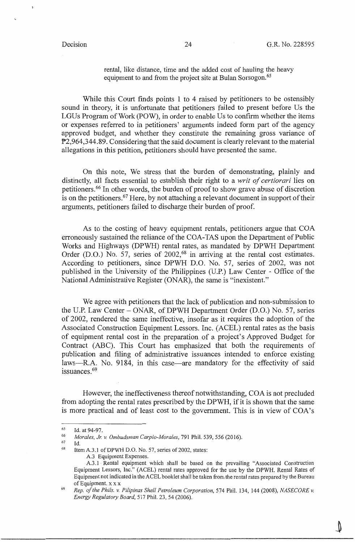rental, like distance, time and the added cost of hauling the heavy equipment to and from the project site at Bulan Sorsogon.<sup>65</sup>

While this Court finds points 1 to 4 raised by petitioners to be ostensibly sound in theory, it is unfortunate that petitioners failed to present before Us the LGUs Program of Work (POW), in order to enable Us to confirm whether the items or expenses referred to in petitioners' arguments indeed form part of the agency approved budget, and whether they constitute the remaining gross variance of P2,964,344.89. Considering that the said document is clearly relevant to the material allegations in this petition, petitioners should have presented the same.

On this note, We stress that the burden of demonstrating, plainly and distinctly, all facts essential to establish their right to a *writ of certiorari* lies on petitioners. 66 In other words, the burden of proof to show grave abuse of discretion is on the petitioners.<sup>67</sup> Here, by not attaching a relevant document in support of their arguments, petitioners failed to discharge their burden of proof.

As to the costing of heavy equipment rentals, petitioners argue that COA erroneously sustained the reliance of the COA-TAS upon the Department of Public Works and Highways (DPWH) rental rates, as mandated by DPWH Department Order (D.O.) No. 57, series of  $2002<sup>68</sup>$  in arriving at the rental cost estimates. According to petitioners, since DPWH D.O. No. 57, series of 2002, was not published in the University of the Philippines (U.P.) Law Center - Office of the National Administrative Register (ONAR), the same is "inexistent."

We agree with petitioners that the lack of publication and non-submission to the U.P. Law Center - ONAR, of DPWH Department Order (D.O.) No. 57, series of 2002, rendered the same ineffective, insofar as it requires the adoption of the Associated Construction Equipment Lessors. Inc. (ACEL) rental rates as the basis of equipment rental cost in the preparation of a project's Approved Budget for Contract (ABC). This Court has emphasized that both the requirements of publication and filing of administrative issuances intended to enforce existing laws---R.A. No. 9184, in this case---are mandatory for the effectivity of said issuances. 69

However, the ineffectiveness thereof notwithstanding, COA is not precluded from adopting the rental rates prescribed by the DPWH, if it is shown that the same is more practical and of least cost to the government. This is in view of COA's

67 68 Id.

A.3 Equipment Expenses.

<sup>65</sup> Id. at 94-97.

<sup>66</sup> *Morales, Jr. v. Ombudsman Carpio-Morales,* 791 Phil. 539,556 (2016).

Item A.3.1 of DPWH D.O. No. 57, series of 2002, states:

A.3.1 · Rental equipment which shall be based on the prevailing "Associated Construction Equipment Lessors, Inc." (ACEL) rental rates approved for the use by the DPWH. Rental Rates of Equipment not indicated in the ACEL booklet shall be taken from the rental rates prepared by the Bureau of Equipment. x x x

<sup>69</sup> *Rep. of the Phils. v. Pilipinas Shell Petroleum Corporation,* 574 Phil. 134, 144 (2008), *NASECORE v. Energy Regulatory Board,* 517 Phil. 23, 54 (2006).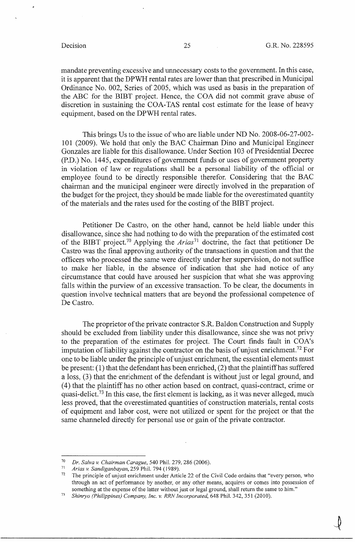$\int$ "

mandate preventing excessive and unnecessary costs to the government. In this case, it is apparent that the DPWH rental rates are lower than that prescribed in Municipal Ordinance No. 002, Series of 2005, which was used as basis in the preparation of the ABC for the BIBT project. Hence, the COA did not commit grave abuse of discretion in sustaining the COA-TAS rental cost estimate for the lease of heavy equipment, based on the DPWH rental rates.

This brings Us to the issue of who are liable under ND No. 2008-06-27-002- 101 (2009). We hold that only the BAC Chairman Dino and Municipal Engineer Gonzales are liable for this disallowance. Under Section 103 of Presidential Decree (P.D.) No. 1445, expenditures of government funds or uses of government property in violation of law or regulations shall be a personal liability of the official or employee found to be directly responsible therefor. Considering that the BAC chairman and the municipal engineer were directly involved in the preparation of the budget for the project, they should be made liable for the overestimated quantity of the materials and the rates used for the costing of the BIBT project.

Petitioner De Castro, on the other hand, cannot be held liable under this disallowance, since she had nothing to do with the preparation of the estimated cost of the BIBT project.<sup>70</sup> Applying the *Arias*<sup>71</sup> doctrine, the fact that petitioner De Castro was the final approving authority of the transactions in question and that the officers who processed the same were directly under her supervision, do not suffice to make her liable, in the absence of indication that she had notice of any circumstance that could have aroused her suspicion that what she was approving falls within the purview of an excessive transaction. To be clear, the documents in question involve technical matters that are beyond the professional competence of De Castro.

The proprietor of the private contractor S.R. Baldon Construction and Supply should be excluded from liability under this disallowance, since she was not privy to the preparation of the estimates for project. The Court finds fault in COA's imputation of liability against the contractor on the basis of unjust enrichment.<sup>72</sup> For one to be liable under the principle of unjust enrichment, the essential elements must be present: (1) that the defendant has been enriched, (2) that the plaintiff has suffered a loss, (3) that the enrichment of the defendant is without just or legal ground, and ( 4) that the plaintiff has no other action based on contract, quasi-contract, crime or quasi-delict.<sup>73</sup> In this case, the first element is lacking, as it was never alleged, much less proved, that the overestimated quantities of construction materials, rental costs of equipment and labor cost, were not utilized or spent for the project or that the same channeled directly for personal use or gain of the private contractor.

<sup>70</sup>*Dr. Salva v. Chairman Carague,* 540 Phil. 279. 286 (2006).

<sup>71</sup>*Arias v. Sandiganbayan,* 259 Phil. 794 ( 1989).

The principle of unjust enrichment under Article 22 of the Civil Code ordains that "every person, who through an act of performance by another, or any other means, acquires or comes into possession of something at the expense of the latter without just or legal ground, shall return the same to him."

<sup>73</sup>*Shinryo (Philippines) Company, Inc. v. RRN Incorporated,* 648 Phil. 342, 351 (2010).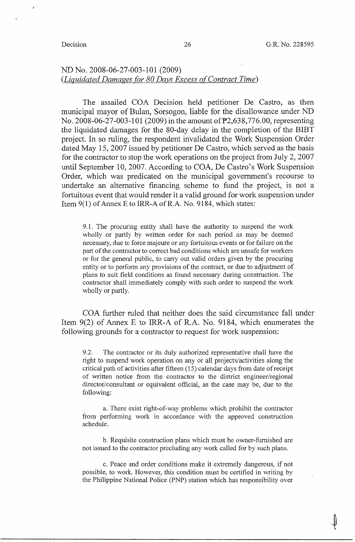-~ '

## ND No. 2008-06-27-003-101 (2009) *(Liquidated Damages for 80 Days Excess of Contract Time)*

The assailed COA Decision held petitioner De Castro, as then municipal mayor of Bulan, Sorsogon, liable for the disallowance under ND No. 2008-06-27-003-101 (2009) in the amount of  $\overline{P}2,638,776.00$ , representing the liquidated damages for the 80-day delay in the completion of the BIBT project. In so ruling, the respondent invalidated the Work Suspension Order dated May 15, 2007 issued by petitioner De Castro, which served as the basis for the contractor to stop the work operations on the project from July 2, 2007 until September 10, 2007. According to COA, De Castro's Work Suspension Order, which was predicated on the municipal government's recourse to undertake an alternative financing scheme to fund the project, is not a fortuitous event that would render it a valid ground for work suspension under Item 9(1) of Annex E to IRR-A of R.A. No. 9184, which states:

9 .1. The procuring entity shall have the authority to suspend the work wholly or partly by written order for such period as may be deemed necessary, due to force majeure or any fortuitous events or for failure on the part of the contractor to correct bad conditions which are unsafe for workers or for the general public, to carry out valid orders given by the procuring entity or to perform any provisions of the contract, or due to adjustment of plans to suit field conditions as found necessary during construction. The contractor shall immediately comply with such order to suspend the work wholly or partly.

COA further ruled that neither does the said circumstance fall under Item 9(2) of Annex E to IRR-A of R.A. No. 9184, which enumerates the following grounds for a contractor to request for work suspension:

9 .2. The contractor or its duly authorized representative shall have the right to suspend work operation on any or all projects/activities along the critical path of activities after fifteen (15) calendar days from date ofreceipt of written notice from the contractor to the district engineer/regional director/consultant or equivalent official, as the case may be, due to the following:

a. There exist right-of-way problems which prohibit the contractor from performing work in accordance with the approved construction schedule.

b. Requisite construction plans which must be owner-furnished are not issued to the contractor precluding any work called for by such plans.

c. Peace and order conditions make it extremely dangerous, if not possible, to work. However, this condition must be certified in writing by the Philippine National Police (PNP) station which has responsibility over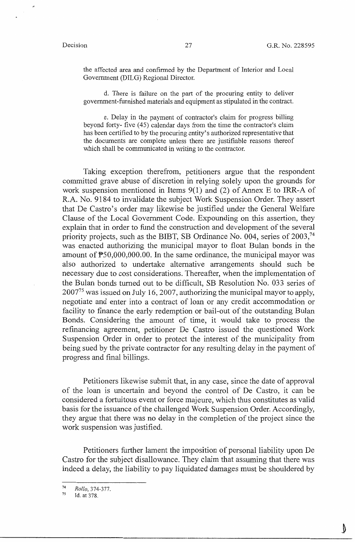$\epsilon$ 

the affected area and confirmed by the Department of Interior and Local Government (DILG) Regional Director.

d. There is failure on the part of the procuring entity to deliver government-furnished materials and equipment as stipulated in the contract.

e. Delay in the payment of contractor's claim for progress billing beyond forty- five (45) calendar days from the time the contractor's claim has been certified to by the procuring entity's authorized representative that the documents are complete unless there are justifiable reasons thereof which shall be communicated in writing to the contractor.

Taking exception therefrom, petitioners argue that the respondent committed grave abuse of discretion in relying solely upon the grounds for work suspension mentioned in Items 9(1) and (2) of Annex E to IRR-A of R.A. No. 9184 to invalidate the subject Work Suspension Order. They assert that De Castro's order may likewise be justified under the General Welfare Clause of the Local Government Code. Expounding on this assertion, they explain that in order to fund the construction and development of the several priority projects, such as the BIBT, SB Ordinance No. 004, series of  $2003<sup>74</sup>$ was enacted authorizing the municipal mayor to float Bulan bonds in the amount of  $\text{\texttt{P50,000,000.00}}$ . In the same ordinance, the municipal mayor was also authorized to undertake alternative arrangements should such be necessary due to cost considerations. Thereafter, when the implementation of the Bulan bonds turned out to be difficult, SB Resolution No. 033 series of  $2007<sup>75</sup>$  was issued on July 16, 2007, authorizing the municipal mayor to apply, negotiate and enter into a contract of loan or any credit accommodation or facility to finance the early redemption or bail-out of the outstanding Bulan Bonds. Considering the amount of time, it would take to process the refinancing agreement, petitioner De Castro issued the questioned Work Suspension Order in order to protect the interest of the municipality from being sued by the private contractor for any resulting delay in the payment of progress and final billings.

Petitioners likewise submit that, in any case, since the date of approval of the loan is uncertain and beyond the control of De Castro, it can be considered a fortuitous event or force majeure, which thus constitutes as valid basis for the issuance of the challenged Work Suspension Order. Accordingly, they argue that there was no delay in the completion of the project since the work suspension was justified.

Petitioners further lament the imposition of personal liability upon De Castro for the subject disallowance. They claim that assuming that there was indeed a delay, the liability to pay liquidated damages must be shouldered by

<sup>74</sup>*Rollo,* 374-377.

Id. at 378.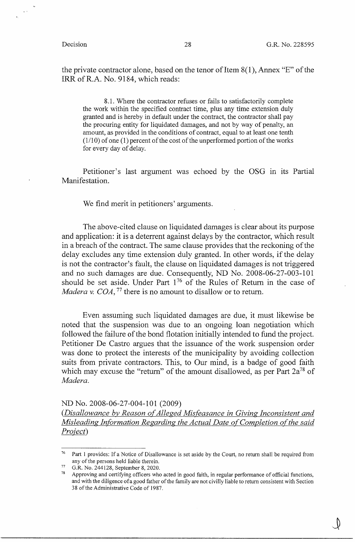the private contractor alone, based on the tenor of Item 8(1), Annex "E" of the IRR ofR.A. No. 9184, which reads:

8.1. Where the contractor refuses or fails to satisfactorily complete the work within the specified contract time, plus any time extension duly granted and is hereby in default under the contract, the contractor shall pay the procuring entity for liquidated damages, and not by way of penalty, an amount, as provided in the conditions of contract, equal to at least one tenth (1/10) of one (1) percent of the cost of the unperformed portion of the works for every day of delay.

Petitioner's last argument was echoed by the OSG in its Partial Manifestation.

We find merit in petitioners' arguments.

The above-cited clause on liquidated damages is clear about its purpose and application: it is a deterrent against delays by the contractor, which result in a breach of the contract. The same clause provides that the reckoning of the delay excludes any time extension duly granted. In other words, if the delay is not the contractor's fault, the clause on liquidated damages is not triggered and no such damages are due. Consequently, ND No. 2008-06-27-003-101 should be set aside. Under Part  $1^{76}$  of the Rules of Return in the case of *Madera v. COA*, <sup>77</sup> there is no amount to disallow or to return.

Even assuming such liquidated damages are due, it must likewise be noted that the suspension was due to an ongoing loan negotiation which followed the failure of the bond flotation initially intended to fund the project. Petitioner De Castro argues that the issuance of the work suspension order was done to protect the interests of the municipality by avoiding collection suits from private contractors. This, to Our mind, is a badge of good faith which may excuse the "return" of the amount disallowed, as per Part  $2a^{78}$  of *Madera.* 

### ND No. 2008-06-27-004-101 (2009)

(Disallowance by Reason of Alleged Misfeasance in Giving Inconsistent and *Misleading Information Regarding the Actual Date of Completion of the said Proiect)* 

<sup>&</sup>lt;sup>76</sup> Part 1 provides: If a Notice of Disallowance is set aside by the Court, no return shall be required from any of the persons held liable therein.

 $77$  G.R. No. 244128, September 8, 2020.

Approving and certifying officers who acted in good faith, in regular performance of official functions, and with the diligence ofa good father of the family are not civilly liable to return consistent with Section 38 of the Administrative Code of 1987.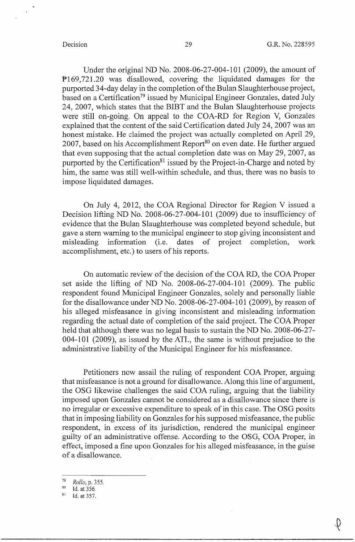Under the original ND No. 2008-06-27-004-101 (2009), the amount of Pl69,721.20 was disallowed, covering the liquidated damages for the purported 34-day delay in the completion of the Bulan Slaughterhouse project, based on a Certification<sup>79</sup> issued by Municipal Engineer Gonzales, dated July 24, 2007, which states that the BIBT and the Bulan Slaughterhouse projects were still on-going. On appeal to the COA-RD for Region V, Gonzales explained that the content of the said Certification dated July 24, 2007 was an honest mistake. He claimed the project was actually completed on April 29, 2007, based on his Accomplishment Report<sup>80</sup> on even date. He further argued that even supposing that the actual completion date was on May 29, 2007, as purported by the Certification<sup>81</sup> issued by the Project-in-Charge and noted by him, the same was still well-within schedule, and thus, there was no basis to impose liquidated damages.

On July 4, 2012, the COA Regional Director for Region V issued a Decision lifting ND No. 2008-06-27-004-101 (2009) due to insufficiency of evidence that the Bulan Slaughterhouse was completed beyond schedule, but gave a stem warning to the municipal engineer to stop giving inconsistent and misleading information (i.e. dates of project completion, work accomplishment, etc.) to users of his reports.

On automatic review of the decision of the COA RD, the COA Proper set aside the lifting of ND No.  $2008-06-27-004-101$  (2009). The public respondent found Municipal Engineer Gonzales, solely and personally liable for the disallowance under ND No. 2008-06-27-004-101 (2009), by reason of his alleged misfeasance in giving inconsistent and misleading information regarding the actual date of completion of the said project. The COA Proper held that although there was no legal basis to sustain the ND No. 2008-06-27-  $004-101$  (2009), as issued by the ATL, the same is without prejudice to the administrative liability of the Municipal Engineer for his misfeasance.

Petitioners now assail the ruling of respondent COA Proper, arguing that misfeasance is not a ground for disallowance. Along this line of argument, the OSG likewise challenges the said COA ruling, arguing that the liability imposed upon Gonzales cannot be considered as a disallowance since there is no irregular or excessive expenditure to speak of in this case. The OSG posits that in imposing liability on Gonzales for his supposed misfeasance, the public respondent, in excess of its jurisdiction, rendered the municipal engineer guilty of an administrative offense. According to the OSG, COA Proper, in effect, imposed a fine upon Gonzales for his alleged misfeasance, in the guise of a disallowance.

<sup>79</sup>*Rollo,* p. 355.

 $80$  Id. at 356.

 $81$  Id. at 357.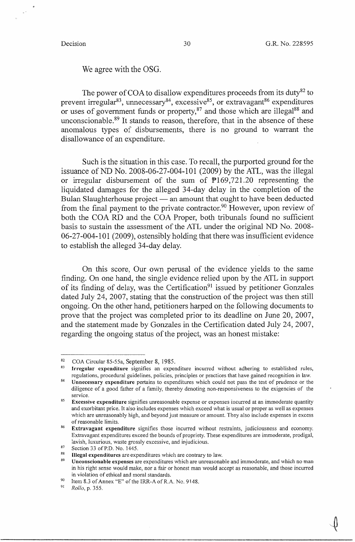We agree with the OSG.

The power of COA to disallow expenditures proceeds from its duty<sup>82</sup> to prevent irregular<sup>83</sup>, unnecessary<sup>84</sup>, excessive<sup>85</sup>, or extravagant<sup>86</sup> expenditures or uses of government funds or property, $87$  and those which are illegal $88$  and unconscionable.89 It stands to reason, therefore, that in the absence of these anomalous types of disbursements, there is no ground to warrant the disallowance of an expenditure.

Such is the situation in this case. To recall, the purported ground for the issuance of ND No. 2008-06-27-004-101 (2009) by the ATL, was the illegal or irregular disbursement of the sum of  $P169,721.20$  representing the liquidated damages for the alleged 34-day delay in the completion of the Bulan Slaughterhouse project - an amount that ought to have been deducted from the final payment to the private contractor.<sup>90</sup> However, upon review of both the COARD and the COA Proper, both tribunals found no sufficient basis to sustain the assessment of the ATL under the original ND No. 2008- 06-27-004-101 (2009), ostensibly holding that there was insufficient evidence to establish the alleged 34-day delay.

On this score, Our own perusal of the evidence yields to the same finding. On one hand, the single evidence relied upon by the ATL in support of its finding of delay, was the Certification $91$  issued by petitioner Gonzales dated July 24, 2007, stating that the construction of the project was then still ongoing. On the other hand, petitioners harped on the following documents to prove that the project was completed prior to its deadline on June 20, 2007, and the statement made by Gonzales in the Certification dated July 24, 2007, regarding the ongoing status of the project, was an honest mistake:

 $82$  COA Circular 85-55a, September 8, 1985.

<sup>83</sup>**Irregular expenditure** signifies an expenditure incurred without adhering to established rules, regulations, procedural guidelines, policies, principles or practices that have gained recognition in law.

<sup>84</sup>**Unnecessary expenditure** pertains to expenditures which could not pass the test of prudence or the diligence of a good father of a family, thereby denoting non-responsiveness to the exigencies of the service.

<sup>85</sup>**Excessive expenditure** signifies unreasonable expense or expenses incurred at an immoderate quantity and exorbitant price. It also includes expenses which exceed what is usual or proper as well as expenses which are unreasonably high, and beyond just measure or amount. They also include expenses in excess of reasonable limits.

<sup>86</sup>**Extravagant expenditure** signifies those incurred without restraints, judiciousness and economy. Extravagant expenditures exceed the bounds of propriety. These expenditures are immoderate, prodigal, lavish, luxurious, waste grossly excessive, and injudicious.

 $87$  Section 33 of P.D. No. 1445.

<sup>88</sup>**Illegal expenditures** are expenditures which are contrary to law.

<sup>89</sup>**Unconscionable expenses** are expenditures which are unreasonable and immoderate, and which no man in his right sense would make, nor a fair or honest man would accept as reasonable, and those incurred in violation of ethical and moral standards.

<sup>&</sup>lt;sup>90</sup> Item 8.3 of Annex "E" of the IRR-A of R.A. Ne. 9148.

<sup>91</sup>*Rollo,* p. 355.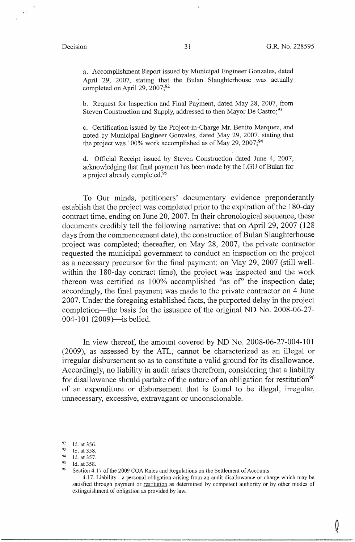$\sqrt{2}$ 

Q

a. Accomplishment Report issued by Municipal Engineer Gonzales, dated April 29, 2007, stating that the Bulan Slaughterhouse was actually completed on April 29, 2007;92

b. Request for Inspection and Final Payment, dated May 28, 2007, from Steven Construction and Supply, addressed to then Mayor De Castro;<sup>93</sup>

c. Certification issued by the Project-in-Charge Mr. Benito Marquez, and noted by Municipal Engineer Gonzales, dated May 29, 2007, stating that the project was 100% work accomplished as of May 29, 2007;<sup>94</sup>

d. Official Receipt issued by Steven Construction dated June 4, 2007, acknowledging that final payment has been made by the LGU of Bulan for a project already completed.<sup>95</sup>

To Our minds, petitioners' documentary evidence preponderantly establish that the project was completed prior to the expiration of the 180-day contract time, ending on June 20, 2007. In their chronological sequence, these documents credibly tell the following narrative: that on April 29, 2007 (128 days from the commencement date), the construction of Bulan Slaughterhouse project was completed; thereafter, on May 28, 2007, the private contractor requested the municipal government to conduct an inspection on the project as a necessary precursor for the final payment; on May 29, 2007 (still wellwithin the 180-day contract time), the project was inspected and the work thereon was certified as 100% accomplished "as of" the inspection date; accordingly, the final payment was made to the private contractor on 4 June 2007. Under the foregoing established facts, the purported delay in the project completion-the basis for the issuance of the original ND No. 2008-06-27- 004-101 (2009)—is belied.

In view thereof, the amount covered by ND No. 2008-06-27-004-101 (2009), as assessed by the ATL, cannot be characterized as an illegal or irregular disbursement so as to constitute a valid ground for its disallowance. Accordingly, no liability in audit arises therefrom, considering that a liability for disallowance should partake of the nature of an obligation for restitution<sup>96</sup> of an expenditure or disbursement that is found to be illegal, irregular, unnecessary, excessive, extravagant or unconscionable.

 $92$  Id. at 356.

<sup>&</sup>lt;sup>93</sup> Id. at 358.

<sup>&</sup>lt;sup>94</sup> Id. at 357.

<sup>95</sup> Id. at 358.

<sup>&</sup>lt;sup>96</sup> Section 4.17 of the 2009 COA Rules and Regulations on the Settlement of Accounts:

<sup>4.17.</sup> Liability - a personal obligation arising from an audit disallowance or charge which may be satisfied through payment or restitution as determined by competent authority or by other modes of extinguishment of obligation as provided by law.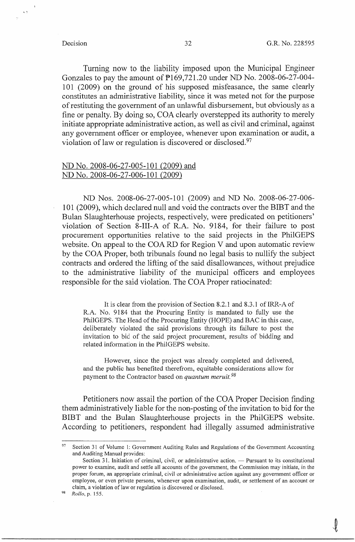t..C

Turning now to the liability imposed upon the Municipal Engineer Gonzales to pay the amount of P169,721.20 under ND No. 2008-06-27-004- 101 (2009) on the ground of his supposed misfeasance, the same clearly constitutes an administrative liability, since it was meted not for the purpose of restituting the government of an unlawful disbursement, but obviously as a fine or penalty. By doing so, COA clearly overstepped its authority to merely initiate appropriate administrative action, as well as civil and criminal, against any government officer or employee, whenever upon examination or audit, a violation of law or regulation is discovered or disclosed.<sup>97</sup>

## ND No. 2008-06-27-005-101 (2009) and ND No. 2008-06-27-006-101 (2009)

ND Nos. 2008-06-27-005-101 (2009) and ND No. 2008-06-27-006- 101 (2009), which declared null and void the contracts over the BIBT and the Bulan Slaughterhouse projects, respectively, were predicated on petitioners' violation of Section 8-III-A of R.A. No. 9184, for their failure to post procurement opportunities relative to the said projects in the PhilGEPS website. On appeal to the COARD for Region V and upon automatic review by the COA Proper, both tribunals found no legal basis to nullify the subject contracts and ordered the lifting of the said disallowances, without prejudice to the administrative liability of the municipal officers and employees responsible for the said violation. The COA Proper ratiocinated:

It is clear from the provision of Section 8.2.1 and 8.3.1 of IRR-A of R.A. No. 9184 that the Procuring Entity is mandated to fully use the PhilGEPS. The Head of the Procuring Entity (HOPE) and BAC in this case, deliberately violated the said provisions through its failure to post the invitation to bid of the said project procurement, results of bidding and related information in the PhilGEPS website.

However, since the project was already completed and delivered, and the public has benefited therefrom, equitable considerations allow for payment to the Contractor based on *quantum meruit. 98* 

Petitioners now assail the portion of the COA Proper Decision finding them administratively liable for the non-posting of the invitation to bid for the BIBT and the Bulan Slaughterhouse projects in the PhilGEPS website. According to petitioners, respondent had illegally assumed administrative

<sup>97</sup> Section 31 of Volume 1: Government Auditing Rules and Regulations of the Government Accounting and Auditing Manual provides:

Section 31. Initiation of criminal, civil, or administrative action. - Pursuant to its constitutional power to examine, audit and settle all accounts of the government, the Commission may initiate, in the proper forum, an appropriate criminal, civil or administrative action against any government officer or employee, or even private persons, whenever upon examination, audit, or settlement of an account or claim, a violation of law or regulation is discovered or disclosed.

<sup>98</sup>*Rollo,* p. 155.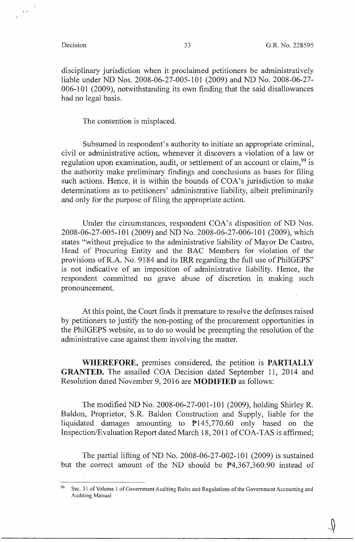$\langle \cdot \rangle$ 

disciplinary jurisdiction when it proclaimed petitioners be administratively liable under ND Nos. 2008-06-27-005-101 (2009) and ND No. 2008-06-27- 006-101 (2009), notwithstanding its own finding that the said disallowances had no legal basis.

The contention is misplaced.

Subsumed in respondent's authority to initiate an appropriate criminal, civil or administrative action, whenever it discovers a violation of a law or regulation upon examination, audit, or settlement of an account or claim,  $99$  is the authority make preliminary findings and conclusions as bases for filing such actions. Hence, it is within the bounds of COA's jurisdiction to make determinations as to petitioners' administrative liability, albeit preliminarily and only for the purpose of filing the appropriate action.

Under the circumstances, respondent COA's disposition of ND Nos. 2008-06-27-005-101 (2009) and NTI No. 2008-06-27-006-101 (2009), which states "without prejudice to the administrative liability of Mayor De Castro, Head of Procuring Entity and the BAC Members for violation of the provisions of R.A. No. 9184 and its IRR regarding the full use of PhilGEPS" is not indicative of an imposition of administrative liability. Hence, the respondent committed no grave abuse of discretion in making such pronouncement.

At this point, the Court finds it premature to resolve the defenses raised by petitioners to justify the non-posting of the procurement opportunities in the PhilGEPS website, as to do so would be preempting the resolution of the administrative case against them involving the matter.

**WHEREFORE,** premises considered, the petition is **PARTIALLY GRANTED.** The assailed COA Decision dated September 11, 2014 and Resolution dated November 9, 2016 are **MODIFIED** as follows:

The modified ND No. 2008-06-27-001-101 (2009), holding Shirley R. Baldon, Proprietor, S.R. Baldon Construction and Supply, liable for the liquidated damages amounting to P145,770.60 only based on the Inspection/Evaluation Report dated March 18, 2011 of COA-TAS is affirmed;

The partial lifting of ND No. 2008-06-27-002-101 (2009) is sustained but the correct amount of the ND should be P4,367,360.90 instead of

<sup>99</sup> Sec. 31 of Volume I of Government Auditing Rules and Regulations of the Government Accounting and Auditing Manual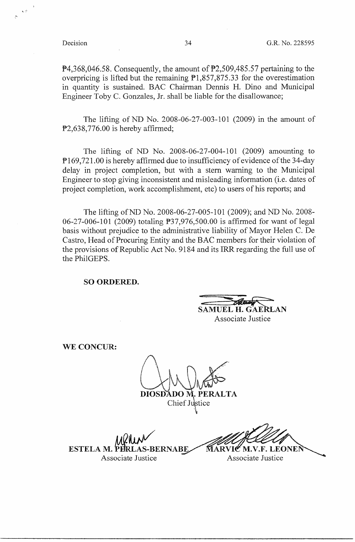1... :'\ ,<sup>~</sup>

 $\overline{P}4,368,046.58$ . Consequently, the amount of  $\overline{P}2,509,485.57$  pertaining to the overpricing is lifted but the remaining  $\overline{P}1,857,875.33$  for the overestimation in quantity is sustained. BAC Chairman Dennis H. Dino and Municipal Engineer Toby C. Gonzales, Jr. shall be liable for the disallowance;

The lifting of ND No. 2008-06-27-003-101 (2009) in the amount of P2,638,776.00 is hereby affirmed;

The lifting of ND No. 2008-06-27-004-101 (2009) amounting to P 169,721.00 is hereby affirmed due to insufficiency of evidence of the 34-day delay in project completion, but with a stem warning to the Municipal Engineer to stop giving inconsistent and misleading information (i.e. dates of project completion, work accomplishment, etc) to users of his reports; and

The lifting of ND No. 2008-06-27-005-101 (2009); and ND No. 2008- 06-27-006-101 (2009) totaling P37,976,500.00 is affirmed for want of legal basis without prejudice to the administrative liability of Mayor Helen C. De Castro, Head of Procuring Entity and the BAC members for their violation of the provisions of Republic Act No. 9184 and its IRR regarding the full use of the PhilGEPS.

**SO ORDERED.** 

**SAMUEL H. GAE** 

Associate Justice

**WE CONCUR:** 

 $\mathcal{L} \subseteq \mathbb{R}$ DIOSDADO M. PERALTA

Chief Justice

*AAQ~*  ESTELA M. PE **S-BERNABE** Associate Justice **Associate Associate** 

M.V.F. LEONEN